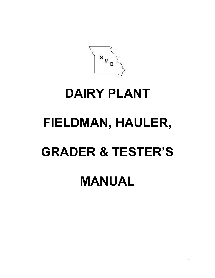$S_{\scriptscriptstyle M}$ 

# **DAIRY PLANT**

# **FIELDMAN, HAULER, GRADER & TESTER'S**

# **MANUAL**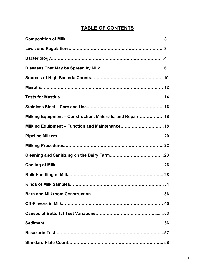# **TABLE OF CONTENTS**

| Milking Equipment - Construction, Materials, and Repair 18 |  |
|------------------------------------------------------------|--|
| Milking Equipment - Function and Maintenance 18            |  |
|                                                            |  |
|                                                            |  |
|                                                            |  |
|                                                            |  |
|                                                            |  |
|                                                            |  |
| Barn and Milkroom Construction<br>. 36                     |  |
|                                                            |  |
|                                                            |  |
|                                                            |  |
|                                                            |  |
|                                                            |  |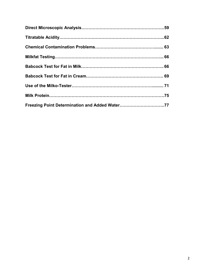| Freezing Point Determination and Added Water77 |  |
|------------------------------------------------|--|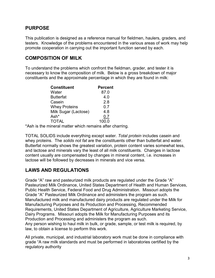# **PURPOSE**

This publication is designed as a reference manual for fieldmen, haulers, graders, and testers. Knowledge of the problems encountered in the various areas of work may help promote cooperation in carrying out the important function served by each.

# **COMPOSITION OF MILK**

To understand the problems which confront the fieldman, grader, and tester it is necessary to know the composition of milk. Below is a gross breakdown of major constituents and the approximate percentage in which they are found in milk:

| <b>Constituent</b>   | <b>Percent</b> |
|----------------------|----------------|
| Water                | 87.0           |
| <b>Butterfat</b>     | 4.0            |
| Casein               | 2.8            |
| <b>Whey Proteins</b> | 0.7            |
| Milk Sugar (Lactose) | 4.8            |
| Ash*                 | 0.7            |
| <b>TOTAL</b>         | 100.0          |

\*Ash is the mineral matter which remains after charring.

TOTAL SOLIDS include everything except water. *Total protein* includes casein and whey proteins. The *solids not fat* are the constituents other than butterfat and water. Butterfat normally shows the greatest variation, protein content varies somewhat less, and lactose and minerals vary the least of all milk constituents. Changes in lactose content usually are compensated by changes in mineral content, i.e. increases in lactose will be followed by decreases in minerals and vice versa.

# **LAWS AND REGULATIONS**

Grade "A" raw and pasteurized milk products are regulated under the Grade "A" Pasteurized Milk Ordinance, United States Department of Health and Human Services, Public Health Service, Federal Food and Drug Administration. Missouri adopts the Grade "A" Pasteurized Milk Ordinance and administers the program as such. Manufactured milk and manufactured dairy products are regulated under the Milk for Manufacturing Purposes and its Production and Processing, Recommended Requirements, United States Department of Agriculture, Agriculture Marketing Service, Dairy Programs. Missouri adopts the Milk for Manufacturing Purposes and its Production and Processing and administers the program as such. Any person wishing to haul milk in bulk, or grade, sample, or test milk is required, by law, to obtain a license to perform this work.

All private, municipal, and industrial laboratory work must be done in compliance with grade "A raw milk standards and must be performed in laboratories certified by the regulatory authority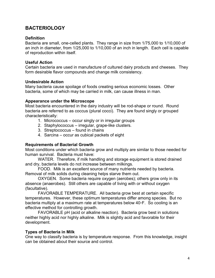# **BACTERIOLOGY**

#### **Definition**

Bacteria are small, one-celled plants. They range in size from 1/75,000 to 1/10,000 of an inch in diameter, from 1/25,000 to 1/10,000 of an inch in length. Each cell is capable of reproduction within itself.

#### **Useful Action**

Certain bacteria are used in manufacture of cultured dairy products and cheeses. They form desirable flavor compounds and change milk consistency.

#### **Undesirable Action**

Many bacteria cause spoilage of foods creating serious economic losses. Other bacteria, some of which may be carried in milk, can cause illness in man.

#### **Appearance under the Microscope**

Most bacteria encountered in the dairy industry will be rod-shape or round. Round bacteria are referred to as coccus (plural cocci). They are found singly or grouped characteristically:

- 1. Micrococcus occur singly or in irregular groups
- 2. Staphylococcus irregular, grape-like clusters.
- 3. Streptococcus found in chains
- 4. Sarcina occur as cubical packets of eight

#### **Requirements of Bacterial Growth**

Most conditions under which bacteria grow and multiply are similar to those needed for human survival. Bacteria must have:

 WATER. Therefore, if milk handling and storage equipment is stored drained and dry, bacteria levels do not increase between milkings.

 FOOD. Milk is an excellent source of many nutrients needed by bacteria. Removal of milk solids during cleaning helps starve them out.

 OXYGEN. Some bacteria require oxygen (aerobes); others grow only in its absence (anaerobes). Still others are capable of living with or without oxygen (facultative).

 FAVORABLE TEMPERATURE. All bacteria grow best at certain specific temperatures. However, these optimum temperatures differ among species. But no bacteria multiply at a maximum rate at temperatures below 40◦F. So cooling is an effective method for controlling growth.

 FAVORABLE pH (acid or alkaline reaction). Bacteria grow best in solutions neither highly acid nor highly alkaline. Milk is slightly acid and favorable for their development.

#### **Types of Bacteria in Milk**

One way to classify bacteria is by temperature response. From this knowledge, insight can be obtained about their source and control.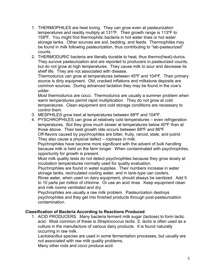- 1. THERMOPHILES are heat loving. They can grow even at pasteurization temperatures and readily multiply at 131ºF. Their growth range is 113ºF to 158ºF. You might find thermophilic bacteria in hot water lines or hot water storage tanks. Other sources are soil, bedding, and feeds. Thermophiles may be found in milk following pasteurization, thus contributing to "lab-pasteurized" counts.
- 2. THERMODURIC bacteria are literally durable to heat, thus thermo(heat)-durics. They survive pasteurization and are reported to producers in pasteurized counts, but do not grow at high temperatures. They cause milk to sour and decrease its shelf life. They are not associated with disease.

Thermodurics can grow at temperatures between 45ºF and 104ºF. Their primary source is dirty equipment. Old, cracked inflations and milkstone deposits are common sources. During advanced lactation they may be found in the cow's udder.

Most thermodurics are cocci. Thermodurics are usually a summer problem when warm temperatures permit rapid multiplication. They do not grow at cold temperatures. Clean equipment and cold storage conditions are necessary to control them.

- 3. MESPHILES grow best at temperatures between 68ºF and 104ºF.
- 4. PYSCHROPHILES can grow at relatively cold temperatures even refrigeration temperatures. But they grow much slower at temperatures below 40ºF than at those above. Their best growth rate occurs between 68ºF and 86ºF. Off-flavors caused by psychrophiles are bitter, fruity, rancid, stale, and putrid. They also cause a physical defect – ropiness in milk.

Psychrophiles have become more significant with the advent of bulk handling because milk is held on the farm longer. When contaminated with psychrophiles, opportunity for growth is present.

Most milk quality tests do not detect psychrophiles because they grow slowly at incubation temperatures normally used for quality evaluation.

Psychrophiles are found in water supplies. Their numbers increase in water storage tanks, recirculated cooling water, and in tank-type can coolers.

Rinse water, when used on dairy equipment, should always be sanitized. Add 5 to 10 parts per million of chlorine. Or use an acid rinse. Keep equipment clean and milk rooms ventilated and dry.

Psychrophiles are usually a raw milk problem. Pasteurization destroys psychrophiles and they get into finished products through post-pasteurization contamination.

#### **Classification of Bacteria According to Reactions Produced**

1. ACID PRODUCERS. Many bacteria ferment milk sugar (lactose) to form lactic acid. Most common of these is *Streptococcus lactis. S. lactis* is often used as a culture in the manufacture of various dairy products. It is found naturally occurring in raw milk.

*Lactobacillus* species are used in some fermentation processes, but usually are not associated with raw milk quality problems.

Many other rods and cocci produce acid.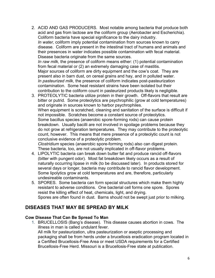2. ACID AND GAS PRODUCERS. Most notable among bacteria that produce both acid and gas from lactose are the coliform group (Aerobacter and Escherichia). Coliform bacteria have special significance to the dairy industry. *In water,* coliform imply potential contamination from sources known to carry disease. Coliform are present in the intestinal tract of humans and animals and their presences in water indicates possible contamination with fecal material. Disease bacteria originate from the same sources. *In raw milk,* the presence of coliform means either: (1) potential contamination from fecal material or (2) an extremely damaging case of mastitis. Major sources of coliform are dirty equipment and the cow's coat. They are

present also in barn dust, on cereal grains and hay, and in polluted water. *In pasteurized milk*, the presence of coliform indicates post-pasteurization contamination. Some heat resistant strains have been isolated but their contribution to the coliform count in pasteurized products likely is negligible.

3. PROTEOLYTIC bacteria utilize protein in their growth. Off-flavors that result are bitter or putrid. Some proteolytics are psychrophilic (grow at cold temperatures) and originate in sources known to harbor psychrophiles. When equipment is scratched, cleaning and sanitation of the surface is difficult if not impossible. Scratches become a constant source of proteolytics. Some bacillus species (anaerobic spore-forming rods) can cause protein breakdown. Usually bacilli are not involved in spoilage problems because they do not grow at refrigeration temperatures. They may contribute to the proteolytic count, however. This means that mere presence of a proteolytic count is not conclusive evidence of a proteolytic problem. *Clostridium* species (anaerobic spore-forming rods) also can digest protein.

These bacteria, too, are not usually implicated in off-flavor problems.

- 4. LIPOLYTIC bacteria can break down butter fat and produce rancid off-flavors (bitter with pungent odor). Most fat breakdown likely occurs as a result of naturally occurring lipase in milk (to be discussed later). In products stored for several days or longer, bacteria may contribute to rancid flavor development. Some lipolytics grow at cold temperatures and are, therefore, particularly undesireable contaminants.
- 5. SPORES. Some bacteria can form special structures which make them highly resistant to adverse conditions. One bacterial cell forms one spore. Spores resist the killing effect of heat, chemicals, light, and drying. Spores are often found in dust. Barns should not be swept just prior to milking.

# **DISEASES THAT MAY BE SPREAD BY MILK**

#### **Cow Disease That Can Be Spread To Man**

1. BRUCELLOSIS (Bang's disease). This disease causes abortion in cows. The illness in man is called undulant fever.

All milk for pasteurization, ultra pasteurization or aseptic processing and packaging shall be from herds under a brucellosis eradication program located in a Certified Brucellosis-Free Area or meet USDA requirements for a Certified Brucellosis-Free Herd. Missouri is a Brucellosis-Free state at publication.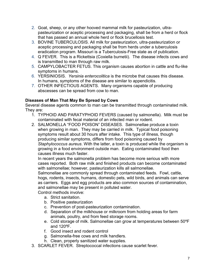- 2. Goat, sheep, or any other hooved mammal milk for pasteurization, ultrapasteurization or aceptic processing and packaging, shall be from a herd or flock that has passed an annual whole herd or flock brucellosis test.
- 3. BOVINE TUBERCULOSIS. All milk for pasteurization, ultra-pasteurization or aceptic processing and packaging shall be from herds under a tuberculosis eradication program. Missouri is a Tuberculosis-Free state as of publication.
- 4. Q FEVER. This is a Rickettsia (Coxiella burnetii). The disease infects cows and is transmitted to man through raw milk.
- 5. CAMPYLOBACTER FETUS. This organism causes abortion in cattle and flu-like symptoms in humans.
- 6. YERSINIOSIS. *Yersinia enterocolitica* is the microbe that causes this disease. In humans, symptoms of the disease are similar to appendicitis.
- 7. OTHER INFECTIOUS AGENTS. Many organisms capable of producing abscesses can be spread from cow to man.

### **Diseases of Man That May Be Spread by Cows**

Several disease agents common to man can be transmitted through contaminated milk. They are:

- 1. TYPHOID AND PARATYPHOID FEVERS (caused by salmonella). Milk must be contaminated with fecal material of an infected man or rodent.
- 2. SALMONELLA "FOOD POISON" DISEASES. Salmonellae produce a toxin when growing in man. They may be carried in milk. Typical food poisoning symptoms result about 30 hours after intake. This type of illness, though producing similar symptoms, differs from food poisoning caused by *Staphylococcus aureus*. With the latter, a toxin is produced while the organism is growing in a food environment outside man. Eating contaminated food then causes illness much faster.

In recent years the salmonella problem has become more serious with more cases reported. Both raw milk and finished products can become contaminated with salmonellae; however, pasteurization kills all salmonellae.

Salmonellae are commonly spread through contaminated feeds. Fowl, cattle, hogs, rodents, insects, humans, domestic pets, wild birds, and animals can serve as carriers. Eggs and egg products are also common sources of contamination, and salmonellae may be present in polluted water.

Control methods involve:

- a. Strict sanitation.
- b. Positive pasteurization
- c. Prevention of post-pasteurization contamination.
- d. Separation of the milkhouse or milkroom from holding areas for farm animals, poultry, and from feed storage rooms.
- e. Cold storage of milk. Salmonellae can grow at temperatures between 50ºF and 120ºF.
- f. Good insect and rodent control
- g. Salmonella-free cows and milk handlers.
- h. Clean, properly sanitized water supplies.
- 3. SCARLET FEVER. Streptococcal infections cause scarlet fever.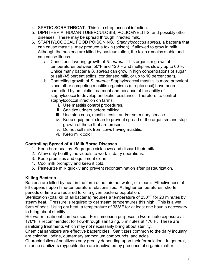- 4. SPETIC SORE THROAT. This is a streptococcal infection.
- 5. DIPHTHERIA, HUMAN TUBERCULOSIS, POLIOMYELITIS, and possibly other diseases. These may be spread through infected milk.
- 6. STAPHYLCOCCAL FOOD POISONING. *Staphylococcus aureus,* a bacteria that can cause mastitis, may produce a toxin (poison), if allowed to grow in milk. Although the bacteria are killed by pasteurization, the toxin remains stable and can cause illness.
	- a. Conditions favoring growth of *S. aureus*: This organism grows at temperatures between 50ºF and 120ºF and multiplies slowly up to 60◦F. Unlike many bacteria *S. aureus* can grow in high concentrations of sugar or salt (45 percent solids, condensed milk, or up to 10 percent salt).
	- b. Controlling growth of *S. aureus:* Staphylococcal mastitis is more prevalent since other competing mastitis organisms (streptococci) have been controlled by antibiotic treatment and because of the ability of staphylococci to develop antibiotic resistance. Therefore, to control staphylococcal infection on farms:
		- i. Use mastitis control procedures.
		- ii. Sanitize udders before milking.
		- iii. Use strip cups, mastitis tests, and/or veterinary service
		- iv. Keep equipment clean to prevent spread of the organism and stop growth of those that are present.
		- v. Do not sell milk from cows having mastitis.
		- vi. Keep milk cold!

#### **Controlling Spread of All Milk Borne Diseases**

- 1. Keep herd healthy. Segregate sick cows and discard their milk.
- 2. Allow only healthy individuals to work in dairy operations.
- 3. Keep premises and equipment clean.
- 4. Cool milk promptly and keep it cold.
- 5. Pasteurize milk quickly and prevent recontamination after pasteurization.

#### **Killing Bacteria**

Bacteria are killed by heat in the form of hot air, hot water, or steam. Effectiveness of kill depends upon time-temperature relationships. At higher temperatures, shorter periods of time are required to kill a given bacteria population.

Sterilization (total kill of all bacteria) requires a temperature of 250ºF for 20 minutes by steam heat. Pressure is required to get steam temperatures this high. This is a wet form of heat. Using dry heat, a temperature of 338ºF for at least one hour is necessary to bring about sterility.

Hot water treatment can be used. For immersion purposes a two-minute exposure at 170ºF is recommended; for flow-through sanitizing, 5 minutes at 170ºF. These are sanitizing treatments which may not necessarily bring about sterility.

Chemical sanitizers are effective bactericides. Sanitizers common to the dairy industry are chlorine, iodine, quaternary ammonium compounds, and acids.

Characteristics of sanitizers vary greatly depending upon their formulation. In general, chlorine sanitizers (hypochlorites) are inactivated by presence of organic matter.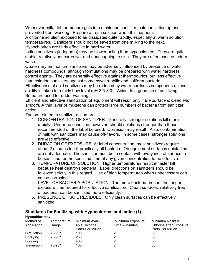Whenever milk, dirt, or manure gets into a chlorine sanitizer, chlorine is tied up and prevented from working. Prepare a fresh solution when this happens.

A chlorine solution exposed to air dissipates quite rapidly, especially at warm solution temperatures. Sanitizers should not be saved from one milking to the next. Hypochlorites are fairly effective in hard water.

Iodine sanitizers (iodophors) may be slower acting than hypochlorites. They are quite stable, relatively noncorrosive, and nonchapping to skin. They are often used as udder wash.

Quaternary ammonium sanitizers may be adversely influenced by presence of water hardness compounds, although formulations may be prepared with water hardness control agents. They are generally effective against thermodurics, but less effective than chlorine sanitizers against some psychrophilic and coliform bacteria.

Effectiveness of acid sanitizers may be reduced by water hardness compounds unless acidity is taken to a fairly how level (pH 2.5-3.0). Acids do a good job of sanitizing. Some are used for udder washing.

Efficient and effective sanitization of equipment will result only if *the surface is clean and smooth!* A thin layer of milkstone can protect large numbers of bacteria from sanitizer action.

Factors related to sanitizer action are:

- 1. CONCENTRATION OF SANITIZER. Generally, stronger solutions kill more rapidly. Under no condition, however, should solutions stronger than those recommended on the label be used. Corrosion may result. Also, contamination of milk with sanitizers may cause off-flavors. In some cases, stronger solutions are *less* effective.
- 2. DURATION OF EXPOSURE. At label concentration, most sanitizers require about 2 minutes to kill practically all bacteria. On equipment surfaces quick dips are not adequate. The sanitizer must be in contact with every inch of surface to be sanitized for the specified time at any given concentration to be effective.
- 3. TEMPERATURE OF SOLUTION. Higher temperatures result in faster kill because heat destroys bacteria. Label directions on sanitizers should be followed strictly in this regard. Use of high temperatures when unnecessary can cause corrosion.
- 4. LEVEL OF BACTERIA POPULATION. The more bacteria present the longer exposure time required for effective sanitization. Clean surfaces, relatively free of bacteria, can be sanitized more efficiently.
- 5. PRESENCE OF SOIL RESIDUES. Only clean surfaces can be effectively sanitized.

#### **Standards for Sanitizing with Hypochlorites and Iodine (1)**

| <b>Hypochlorites:</b> |             |                   |                  |                         |
|-----------------------|-------------|-------------------|------------------|-------------------------|
| Method of             | Temperature | Minimum Avail-    | Minimum Exposure | Minimum Residual        |
| Application           | Range       | able Chlorine     | Time – Minutes   | Chlorine after Exposure |
|                       |             | Parts Per Million |                  | Parts Per Million       |
| Circulation           | 75-90°F     | 100               |                  | 50                      |
| Spraying              | 75-90°F     | 250               |                  | 50                      |
| Fogging               |             | 400               |                  | 50                      |
| Immersion             | 75-90°F     | 100               |                  | 50                      |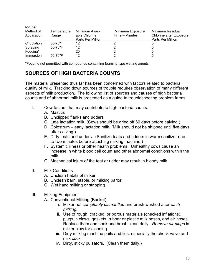| lodine:<br>Method of<br>Application | Temperature<br>Range     | Minimum Avail-<br>able Chlorine<br>Parts Per Million | Minimum Exposure<br>Time – Minutes | Minimum Residual<br>Chlorine after Exposure<br>Parts Per Million |
|-------------------------------------|--------------------------|------------------------------------------------------|------------------------------------|------------------------------------------------------------------|
| Circulation                         | $50 - 70$ <sup>o</sup> F | 12                                                   |                                    | 5                                                                |
| Spraying                            | $50-70$ °F               | 12                                                   |                                    | 5                                                                |
| Fogging*                            |                          | 25                                                   |                                    | 5                                                                |
| Immersion                           | $50-70$ °F               | 12                                                   |                                    | 5                                                                |

\*Fogging not permitted with compounds containing foaming type wetting agents.

# **SOURCES OF HIGH BACTERIA COUNTS**

The material presented thus far has been concerned with factors related to bacterial quality of milk. Tracking down sources of trouble requires observation of many different aspects of milk production. The following list of sources and causes of high bacteria counts and of abnormal milk is presented as a guide to troubleshooting problem farms.

- I. Cow factors that may contribute to high bacteria counts:
	- A. Mastitis
	- B. Unclipped flanks and udders
	- C. Late lactation milk. (Cows should be dried off 60 days before calving.)
	- D. Colostrum early lactation milk. (Milk should not be shipped until five days after calving.)
	- E. Dirty teats and udders. (Sanitize teats and udders in warm sanitizer one to two minutes before attaching milking machine.)
	- F. Systemic illness or other health problems. Unhealthy cows cause an increase in white blood cell count and other abnormal conditions within the milk.
	- G. Mechanical injury of the teat or udder may result in bloody milk.
- II. Milk Conditions
	- A. Unclean habits of milker
	- B. Unclean barn, stable, or milking parlor.
	- C. Wet hand milking or stripping
- III. Milking Equipment
	- A. Conventional Milking (Bucket)
		- i. Milker not *completely dismantled* and brush washed after *each milking.*
		- ii. Use of rough, cracked, or porous materials (checked inflations), plugs in claws, gaskets, rubber or plastic milk hoses, and air hoses. Replace them and soak and brush clean daily. *Remove air plugs* in milker claw for cleaning.
		- iii. Dirty milking machine pails and lids, especially the check valve and milk cock.
		- iv. Dirty, sticky pulsators. (Clean them daily.)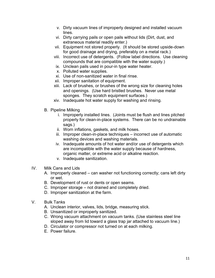- v. Dirty vacuum lines of improperly designed and installed vacuum lines.
- vi. Dirty carrying pails or open pails without lids (Dirt, dust, and extraneous material readily enter.)
- vii. Equipment not stored properly. (It should be stored upside-down for good drainage and drying, preferably on a metal rack.)
- viii. Incorrect use of detergents. (Follow label directions. Use cleaning compounds that are compatible with the water supply.)
- ix. Unclean pails used in pour-in type water heater.
- x. Polluted water supplies.
- xi. Use of non-sanitized water in final rinse.
- xii. Improper sanitation of equipment.
- xiii. Lack of brushes, or brushes of the wrong size for cleaning holes and openings. (Use hard bristled brushes. Never use metal sponges. They scratch equipment surfaces.)
- xiv. Inadequate hot water supply for washing and rinsing.
- B. Pipeline Milking
	- i. Improperly installed lines. (Joints must be flush and lines pitched properly for clean-in-place systems. There can be no undrainable sags.)
	- ii. Worn inflations, gaskets, and milk hoses.
	- iii. Improper clean-in-place techniques incorrect use of automatic washing devices and washing materials.
	- iv. Inadequate amounts of hot water and/or use of detergents which are incompatible with the water supply because of hardness, organic matter, or extreme acid or alkaline reaction.
	- v. Inadequate sanitization.
- IV. Milk Cans and Lids
	- A. Improperly cleaned can washer not functioning correctly; cans left dirty or wet.
	- B. Development of rust or dents or open seams.
	- C. Improper storage not drained and completely dried.
	- D. Improper sanitization at the farm.
- V. Bulk Tanks
	- A. Unclean interior, valves, lids, bridge, measuring stick.
	- B. Unsanitized or improperly sanitized.
	- C. Wrong vacuum attachment on vacuum tanks. (Use stainless steel line sloped away from lid toward a glass trap jar attached to vacuum line.)
	- D. Circulator or compressor not turned on at each milking.
	- E. Power failure.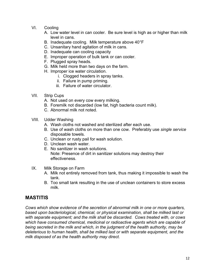- VI. Cooling
	- A. Low water level in can cooler. Be sure level is high as or higher than milk level in cans.
	- B. Inadequate cooling. Milk temperature above 40°F
	- C. Unsanitary hand agitation of milk in cans.
	- D. Inadequate can cooling capacity
	- E. Improper operation of bulk tank or can cooler.
	- F. Plugged spray heads.
	- G. Milk held more than two days on the farm.
	- H. Improper ice water circulation.
		- i. Clogged headers in spray tanks.
		- ii. Failure in pump priming.
		- iii. Failure of water circulator.
- VII. Strip Cups
	- A. Not used on every cow every milking.
	- B. Foremilk not discarded (low fat, high bacteria count milk).
	- C. Abnormal milk not noted.
- VIII. Udder Washing
	- A. Wash cloths not washed and sterilized after each use.
	- B. Use of wash cloths on more than one cow. Preferably use *single service* disposable towels.
	- C. Unclean or rusty pail for wash solution.
	- D. Unclean wash water.
	- E. No sanitizer in wash solutions. Note: Presence of dirt in sanitizer solutions may destroy their effectiveness.
- IX. Milk Storage on Farm
	- A. Milk not entirely removed from tank, thus making it impossible to wash the tank.
	- B. Too small tank resulting in the use of unclean containers to store excess milk.

# **MASTITIS**

*Cows which show evidence of the secretion of abnormal milk in one or more quarters, based upon bacteriological, chemical, or physical examination, shall be milked last or with separate equipment; and the milk shall be discarded. Cows treated with, or cows which have consumed chemical, medicinal or radioactive agents which are capable of being secreted in the milk and which, in the judgment of the health authority, may be deleterious to human health, shall be milked last or with separate equipment, and the milk disposed of as the health authority may direct.*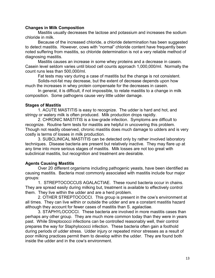#### **Changes in Milk Composition**

Mastitis usually decreases the lactose and potassium and increases the sodium chloride in milk.

 Because of the increased chloride, a chloride determination has been suggested to detect mastitis. However, cows with "normal" chloride content have frequently been noted suffering from mastitis, so chloride determination is not a very reliable method of diagnosing mastitis.

 Mastitis causes an increase in some whey proteins and a decrease in casein. Casein level seldom varies until blood cell counts approach 1,000,000/ml. Normally the count runs less than 500,000/ml.

Fat tests may vary during a case of mastitis but the change is not consistent.

 Solids-not-fat may decrease, but the extent of decrease depends upon how much the increases in whey protein compensate for the decreases in casein.

 In general, it is difficult, if not impossible, to relate mastitis to a change in milk composition. Some pathogens cause very little udder damage.

#### **Stages of Mastitis**

 1. ACUTE MASTITIS is easy to recognize. The udder is hard and hot, and stringy or watery milk is often produced. Milk production drops rapidly.

 2. CHRONIC MASTITIS is a low-grade infection. Symptoms are difficult to recognize. Routine farm tests for mastitis are helpful in uncovering this problem. Though not readily observed, chronic mastitis does much damage to udders and is very costly is terms of losses in milk production.

 3. SUBCLINICAL MASTITIS can be detected only by rather involved laboratory techniques. Disease bacteria are present but relatively inactive. They may flare up at any time into more serious stages of mastitis. Milk losses are not too great with subclinical mastitis, but recognition and treatment are desirable.

#### **Agents Causing Mastitis**

 Over 20 different organisms including pathogenic yeasts, have been identified as causing mastitis. Bacteria most commonly associated with mastitis include four major groups:

 1. STREPTOCOCCUS AGALACTIAE. These round bacteria occur in chains. They are spread easily during milking but, treatment is available to effectively control them. They live within the udder and are a herd problem.

 2. OTHER STREPTOCOCCI. This group is present in the cow's environment at all times. They can live within or outside the udder and are a constant mastitis hazard although they account for fewer cases of mastitis than S. agalactiae.

 3. STAPHYLOCOCCI. These bacteria are involved in more mastitis cases than perhaps any other group. They are much more common today than they were in years past. While Streptococci infections can be controlled reasonably well, their control prepares the way for Staphylococci infection. These bacteria often gain a foothold during periods of udder stress. Udder injury or repeated minor stresses as a result of poor milking practices permit them to develop within the udder. They are found both inside the udder and in the cow's environment.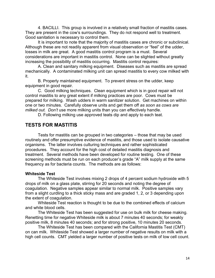4. BACILLI. This group is involved in a relatively small fraction of mastitis cases. They are present in the cow's surroundings. They do not respond well to treatment. Good sanitation is necessary to control them.

 It is important to note that the majority of mastitis cases are chronic or subclinical. Although these are not readily apparent from visual observation or "feel" of the udder, losses in milk are great. A good mastitis control program is a must. Several considerations are important in mastitis control. None can be slighted without greatly increasing the possibility of mastitis occurring. Mastitis control requires:

 A. Clean and sanitary milking equipment. Diseases such as mastitis are spread mechanically. A contaminated milking unit can spread mastitis to every cow milked with it.

 B. Properly maintained equipment. To prevent stress on the udder, keep equipment in good repair.

 C. Good milking techniques. Clean equipment which is in good repair will not control mastitis to any great extent if milking practices are poor. Cows must be prepared for milking. Wash udders in warm sanitizer solution. Get machines on within one or two minutes. Carefully observe units and get them off *as soon as cows are milked out. Don't* use more milking units than you can effectively handle.

D. Following milking use approved teats dip and apply to each teat.

# **TESTS FOR MASTITIS**

 Tests for mastitis can be grouped in two categories – those that may be used routinely and offer presumptive evidence of mastitis, and those used to isolate causative organisms. The latter involves culturing techniques and rather sophisticated procedures. They account for the high cost of detailed mastitis diagnosis and treatment. Several methods have been developed for routine testing. One of these screening methods must be run on each producer's grade "A" milk supply at the same frequency as for bacteria counts. The methods are as follows:

#### **Whiteside Test**

 The Whiteside Test involves mixing 2 drops of 4 percent sodium hydroxide with 5 drops of milk on a glass plate, stirring for 20 seconds and noting the degree of coagulation. Negative samples appear similar to normal milk. Positive samples vary from a slight curdling to a thick sticky mass and are graded 1, 2, or 3 depending upon the extent of coagulation.

 Whiteside Test reaction is thought to be due to the combined effects of calcium and white blood cells.

 The Whiteside Test has been suggested for use on bulk milk for cheese making. Renetting time for negative Whiteside milk is about 7 minutes 40 seconds; for weakly positive milk, 8 minutes 40 seconds; and for strong positive, 10 minutes 20 seconds.

 The Whiteside Test has been compared with the California Mastitis Test (CMT) on can milk. Whiteside Test showed a larger number of negative results on milk with a high cell counts. CMT yielded a larger number of positive tests on milk of low cell count.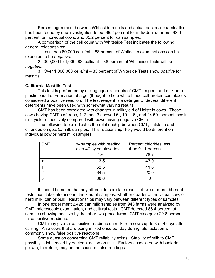Percent agreement between Whiteside results and actual bacterial examination has been found by one investigation to be: 89.2 percent for individual quarters, 82.0 percent for individual cows, and 65.2 percent for can samples.

 A comparison of the cell count with Whiteside Test indicates the following general relationships:

 1. Less than 80,000 cells/ml – 88 percent of Whiteside examinations can be expected to be *negative.* 

2. 300,000 to 1,000,000 cells/ml – 38 percent of Whiteside Tests will be *negative.*

 3. Over 1,000,000 cells/ml – 83 percent of Whiteside Tests show *positive* for mastitis.

#### **California Mastitis Test**

This test is performed by mixing equal amounts of CMT reagent and milk on a plastic paddle. Formation of a gel (thought to be a white blood cell-protein complex) is considered a positive reaction. The test reagent is a detergent. Several different detergents have been used with somewhat varying results.

 CMT has been correlated with changes in milk yield of Holstein cows. Those cows having CMT's of trace, 1, 2, and 3 showed 6-, 10-, 16-, and 24.59- percent loss in milk yield respectively compared with cows having negative CMT's.

 The following table indicates the relationship between CMT, catalase and chlorides on *quarter* milk samples. This relationship likely would be different on individual cow or herd milk samples:

| CMT | % samples with reading<br>over 40 by catalase test | Percent chlorides less<br>than 0.11 percent |
|-----|----------------------------------------------------|---------------------------------------------|
|     | 1 6                                                | 78.7                                        |
|     | 13.5                                               | 43.0                                        |
|     | 52.5                                               | 41.6                                        |
| ⌒   | 64.5                                               | 20.0                                        |
| ર   | 86.8                                               |                                             |

 It should be noted that any attempt to correlate results of two or more different tests must take into account the kind of samples, whether quarter or individual cow, or herd milk, can or bulk. Relationships may vary between different types of samples.

 In one experiment 2,428 can milk samples from 943 farms were analyzed by CMT, microscopic examination, and cultural tests. CMT detected 86.4 percent of samples showing positive by the latter two procedures. CMT also gave 29.8 percent false positive readings.

 CMT may give false positive readings on milk from cows up to 3 or 4 days after calving. Also cows that are being milked once per day during late lactation will commonly show false positive reactions.

 Some question concerning CMT reliability exists. Stability of milk to CMT possibly is influenced by bacterial action on milk. Factors associated with bacteria growth, therefore, may be the cause of false readings.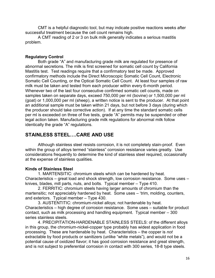CMT is a helpful diagnostic tool, but may indicate positive reactions weeks after successful treatment because the cell count remains high.

 A CMT reading of 2 or 3 on bulk milk generally indicates a serious mastitis problem.

#### **Regulatory Control**

 Both grade "A" and manufacturing grade milk are regulated for presence of abnormal secretions. The milk is first screened for somatic cell count by California Mastitis test. Test readings require that a confirmatory test be made. Approved confirmatory methods include the Direct Microscopic Somatic Cell Count, Electronic Somatic Cell Counting, or the Optical Somatic Cell Count. At least four samples of raw milk must be taken and tested from each producer within every 6-month period. Whenever two of the last four consecutive confirmed somatic cell counts, made on samples taken on separate days, exceed 750,000 per ml (bovine) or 1,500,000 per ml (goat) or 1,000,000 per ml (sheep), a written notice is sent to the producer. At that point an additional sample must be taken within 21 days, but not before 3 days (during which the producer should take corrective action). If at any time the standard somatic cells per ml is exceeded on three of five tests, grade "A" permits may be suspended or other legal action taken. Manufacturing grade milk regulations for abnormal milk follow identically the grade "A" regulations.

# **STAINLESS STEEL….CARE AND USE**

 Although stainless steel resists corrosion, it is not completely stain-proof. Even within the group of alloys termed "stainless" corrosion resistance varies greatly. Use considerations frequently to determine the kind of stainless steel required, occasionally at the expense of stainless qualities.

#### **Kinds of Stainless Steel**

 1. MARTENSITIC: chromium steels which can be hardened by heat. Characteristics – great load and shock strength, low corrosion resistance. Some uses – knives, blades, mill parts, nuts, and bolts. Typical member – Type 410.

 2. FERRITIC: chromium steels having larger amounts of chromium than the martensitic; not appreciably hardened by heat. Some uses – 'trim, molding, counters, and exteriors. Typical member – Type 430.

 3. AUSTENTITIC: chromium-nickel alloys; not hardenable by heat. Characteristics – high degree of corrosion resistance. Some uses – suitable for product contact, such as milk processing and handling equipment. Typical member – 300 series stainless steels.

 4. PRECIPITATION-HARDENABLE STAINLESS STEELS: of the different alloys in this group, the chromium-nickel-copper type probably has widest application in food processing. These are hardenable by heat. Characteristics – the copper is *not* extractable by food products or sanitizers (unlike "white metals"), and would not be a potential cause of oxidized flavor; it has good corrosion resistance and great strength, and is not subject to preferential corrosion in contact with 300 series, 18-8 type steels.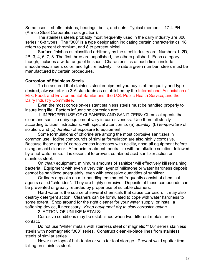Some uses – shafts, pistons, bearings, bolts, and nuts. Typical member – 17-4-PH (Armco Steel Corporation designation).

 The stainless steels probably most frequently used in the dairy industry are 300 series 18-8 types. The "300" is a type designation indicating certain characteristics; 18 refers to percent chromium, and 8 to percent nickel.

 Surface finishes as classified arbitrarily by the steel industry are: Numbers 1, 2D, 2B, 3, 4, 6, 7, 8. The first three are unpolished, the others polished. Each category, though, includes a wide range of finishes. Characteristics of each finish include smoothness, sheen, color, and light reflectivity. To rate a given number, steels must be manufactured by certain procedures.

#### **Corrosion of Stainless Steels**

 To be assured that stainless steel equipment you buy is of the quality and type desired, always refer to 3-A standards as established by the International Association of Milk, Food, and Environmental Sanitarians, the U.S. Public Health Service, and the Dairy Industry Committee.

 Even the most corrosion-resistant stainless steels must be handled properly to insure long life. Factors influencing corrosion are:

 1. IMPROPER USE OF CLEANERS AND SANITIZERS: Chemical agents that clean and sanitize dairy equipment vary in corrosiveness. Use them all strictly according to label instructions, with special attention to: (a) *quantity*, (b) *temperature* of solution, and (c) *duration* of exposure to equipment.

 Some formulations of chlorine are among the most corrosive sanitizers in common use. Iodine compounds of similar formulation are also highly corrosive. Because these agents' corrosiveness increases with acidity, rinse all equipment before using an acid cleaner. After acid treatment, neutralize with an alkaline solution, followed by a hot water rinse. It is essential to prevent combined acid-sanitizer action on stainless steel.

 On *clean* equipment, minimum amounts of sanitizer will effectively kill remaining bacteria. Equipment with even a very thin layer of milkstone or water hardness deposit cannot be sanitized adequately, even with excessive quantities of sanitizer.

 Ordinary deposits on milk handling equipment frequently consist of chemical agents called "chlorides". They are highly corrosive. Deposits of these compounds can be prevented or greatly retarded by proper use of suitable cleaners.

 Hard water is the source of several chemicals that cause corrosion. It may also destroy detergent action. Cleaners can be formulated to cope with water hardness to some extent. Shop around for the right cleaner for your water supply; or install a softening device, if necessary. *Keep equipment dry to slow corrosive action.*

2. ACTION OF UNLIKE METALS:

 Corrosive conditions may be established when two different metals are in contact.

 Do not use "white" metals with stainless steel or magnetic "400" series stainless steels with nonmagnetic "300" series. Construct clean-in-place lines from stainless steels of similar series.

 Never use tops of bulk tanks or vats for tool storage. Prevent weld spatter from falling on stainless steel.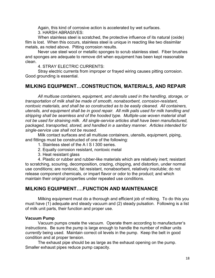Again, this kind of corrosive action is accelerated by wet surfaces. 3. HARSH ABRASIVES:

 When stainless steel is scratched, the protective influence of its natural (oxide) film is lost. When this occurs, stainless steel is unique in reacting like two dissimilar metals, as noted above. Pitting corrosion results.

 Never use steel wool or metallic sponges to scrub stainless steel. Fiber brushes and sponges are adequate to remove dirt when equipment has been kept reasonable clean.

4. STRAY ELECTRIC CURRENTS:

 Stray electric currents from improper or frayed wiring causes pitting corrosion. Good grounding is essential.

# **MILKING EQUIPMENT…CONSTRUCTION, MATERIALS, AND REPAIR**

 *All multiuse containers, equipment, and utensils used in the handling, storage, or transportation of milk shall be made of smooth, nonabsorbent, corrosion-resistant, nontoxic materials, and shall be so constructed as to be easily cleaned. All containers, utensils, and equipment shall be in good repair. All milk pails used for milk handling and stripping shall be seamless and of the hooded type. Multiple-use woven material shall not be used for straining milk. All single-service articles shall have been manufactured, packaged, transported, stored, and handled in a sanitary manner. Articles intended for single-service use shall not be reused.* 

 Milk contact surfaces and all multiuse containers, utensils, equipment, piping, and fittings must be constructed of one of the following:

- 1. Stainless steel of the A I S I 300 series.
- 2. Equally corrosion resistant, nontoxic metal
- 3. Heat resistant glass

 4. Plastic or rubber and rubber-like materials which are relatively inert; resistant to scratching, scouring, decomposition, crazing, chipping, and distortion, under normal use conditions; are nontoxic, fat resistant, nonabsorbent, relatively insoluble; do not release component chemicals, or impart flavor or odor to the product; and which maintain their original properties under repeated use conditions.

# **MILKING EQUIPMENT….FUNCTION AND MAINTENANCE**

Milking equipment must do a thorough and efficient job of milking. To do this you must have (1) adequate and steady vacuum and (2) steady pulsation. Following is a list of milk unit parts, their function and proper use.

#### **Vacuum Pump**

 Vacuum pumps create the vacuum. Operate them according to manufacturer's instructions. Be sure the pump is large enough to handle the number of milker units *currently* being used. Maintain correct oil levels in the pump. Keep the belt in good condition and at proper tension.

 The exhaust pipe should be as large as the exhaust opening on the pump. Smaller exhaust pipes reduce pump capacity.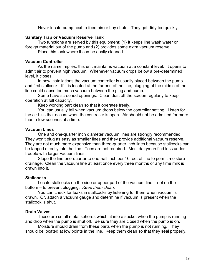Never locate pump next to feed bin or hay chute. They get dirty too quickly.

#### **Sanitary Trap or Vacuum Reserve Tank**

 Two functions are served by this equipment: (1) It keeps line wash water or foreign material out of the pump and (2) provides some extra vacuum reserve.

Place this tank where it can be easily cleaned.

#### **Vacuum Controller**

 As the name implies, this unit maintains vacuum at a constant level. It opens to admit air to prevent high vacuum. Whenever vacuum drops below a pre-determined level, it closes.

 In new installations the vacuum controller is usually placed between the pump and first stallcock. If it is located at the far end of the line, plugging at the middle of the line could cause too much vacuum between the plug and pump.

 Some have screened openings. Clean dust off the screen regularly to keep operation at full capacity.

Keep working part clean so that it operates freely.

 You can usually tell when vacuum drops below the controller setting. Listen for the air hiss that occurs when the controller is open. Air should not be admitted for more than a few seconds at a time.

#### **Vacuum Lines**

 One and one-quarter inch diameter vacuum lines are strongly recommended. They won't plug as easy as smaller lines and they provide additional vacuum reserve. They are not much more expensive than three-quarter inch lines because stallcocks can be tapped directly into the line. Tees are not required. Most dairymen find less udder trouble with larger vacuum lines.

 Slope the line one-quarter to one-half inch per 10 feet of line to permit moisture drainage. Clean the vacuum line at least once every three months or any time milk is drawn into it.

#### **Stallcocks**

 Locate stallcocks on the side or upper part of the vacuum line – not on the bottom – to prevent plugging. *Keep them clean.*

You can check for leaks in stallcocks by listening for them when vacuum is drawn. Or, attach a vacuum gauge and determine if vacuum is present when the stallcock is shut.

#### **Drain Valves**

 These are small metal spheres which fit into a socket when the pump is running and drop when the pump is shut off. Be sure they are closed when the pump is on.

 Moisture should drain from these parts when the pump is not running. They should be located at low points in the line. Keep them clean so that they seal properly.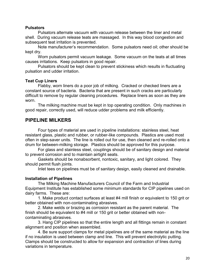#### **Pulsators**

 Pulsators alternate vacuum with vacuum release between the liner and metal shell. During vacuum release teats are massaged. In this way blood congestion and subsequent teat irritation is prevented.

 Note manufacturer's recommendation. Some pulsators need oil; other should be kept dry.

 Worn pulsators permit vacuum leakage. Some vacuum on the teats at all times causes irritations. Keep pulsators in good repair.

 Pulsators should be kept clean to prevent stickiness which results in fluctuating pulsation and udder irritation.

#### **Teat Cup Liners**

 Flabby, worn liners do a poor job of milking. Cracked or checked liners are a constant source of bacteria. Bacteria that are present in such cracks are particularly difficult to remove by regular cleaning procedures. Replace liners as soon as they are worn.

The milking machine must be kept in top operating condition. Only machines in good repair, correctly used, will reduce udder problems and milk efficiently.

## **PIPELINE MILKERS**

 Four types of material are used in pipeline installations: stainless steel, heat resistant glass, plastic and rubber, or rubber-like compounds. Plastics are used most often in step-saver units. The line is rolled out for use, then cleaned and re-rolled onto a drum for between-milking storage. Plastics should be approved for this purpose.

 For glass and stainless steel, couplings should be of sanitary design and material to prevent corrosion and to maintain airtight seats.

 Gaskets should be nonabsorbent, nontoxic, sanitary, and light colored. They should permit flush joints.

Inlet tees on pipelines must be of sanitary design, easily cleaned and drainable.

#### **Installation of Pipelines**

 The Milking Machine Manufacturers Council of the Farm and Industrial Equipment Institute has established some minimum standards for CIP pipelines used on dairy farms. These are:

 1. Make product contact surfaces at least #4 mill finish or equivalent to 150 grit or better obtained with non-contaminating abrasives.

 2. Make welds or brazing as corrosion resistant as the parent material. The finish should be equivalent to #4 mill or 150 grit or better obtained with noncontaminating abrasives.

 3. Hang CIP pipelines so that the entire length and all fittings remain in constant alignment and position when assembled.

 4. Be sure support clamps for metal pipelines are of the same material as the line if no insulation is used between clamp and line. This will prevent electrolytic putting. Clamps should be constructed to allow for expansion and contraction of lines during variations in temperature.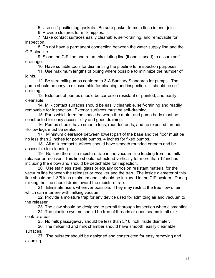5. Use self-positioning gaskets. Be sure gasket forms a flush interior joint.

6. Provide closures for milk nipples.

 7. Make contact surfaces easily cleanable, self-draining, and removable for inspection.

 8. Do not have a permanent connection between the water supply line and the CIP pipeline.

 9. Slope the CIP line and return circulating line (if one is used) to assure selfdrainage.

10. Have suitable tools for dismantling the pipeline for inspection purposes.

 11. Use maximum lengths of piping where possible to minimize the number of joints.

 12. Be sure milk pumps conform to 3-A Sanitary Standards for pumps. The pump should be easy to disassemble for cleaning and inspection. It should be selfdraining.

 13. Exteriors of pumps should be corrosion resistant or painted, and easily cleanable.

 14. Milk contact surfaces should be easily cleanable, self-draining and readily removable for inspection. Exterior surfaces must be self-draining.

 15. Parts which form the space between the motor and pump body must be constructed for easy accessibility and good draining.

 16. Pumps should have smooth legs, rounded ends, and no exposed threads. Hollow legs must be sealed.

 17. Minimum clearance between lowest part of the base and the floor must be no less than 2 inches for portable pumps, 4 inches for fixed pumps.

 18. All milk contact surfaces should have smooth rounded corners and be accessible for cleaning.

 19. Be sure there is a moisture trap in the vacuum line leading from the milk releaser or receiver. This line should not extend vertically for more than 12 inches including the elbow and should be detachable for inspection.

 20. Use stainless steel, glass or equally corrosion resistant material for the vacuum line between the releaser or receiver and the trap. The inside diameter of this line should be 1-3/8 inch minimum and it should be included in the CIP system. During milking the line should drain toward the moisture trap.

 21. Eliminate risers wherever possible. They may restrict the free flow of air which can interfere with milking vacuum.

 22. Provide a moisture trap for any device used for admitting air and vacuum to the releaser.

23. The claw should be designed to permit thorough inspection when dismantled.

 24. The pipeline system should be free of threads or open seams in all milk contact areas.

25. No milk passageway should be less than 5/16 inch inside diameter.

 26. The milker lid and milk chamber should have smooth, easily cleanable surfaces.

 27. The pulsator should be designed and constructed for easy removing and cleaning.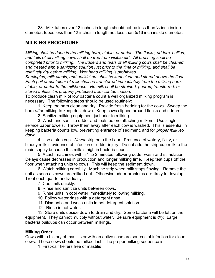28. Milk tubes over 12 inches in length should not be less than  $\frac{1}{2}$  inch inside diameter, tubes less than 12 inches in length not less than 5/16 inch inside diameter.

## **MILKING PROCEDURE**

*Milking shall be done in the milking barn, stable, or parlor. The flanks, udders, bellies, and tails of all milking cows shall be free from visible dirt. All brushing shall be completed prior to milking. The udders and teats of all milking cows shall be cleaned and treated with a sanitizing solution just prior to the time of milking, and shall be relatively dry before milking. Wet hand milking is prohibited.* 

*Surcingles, milk stools, and antikickers shall be kept clean and stored above the floor. Each pail or container of milk shall be transferred immediately from the milking barn, stable, or parlor to the milkhouse. No milk shall be strained, poured, transferred, or stored unless it is properly protected from contamination.* 

To produce clean milk of low bacteria count a well organized milking program is necessary. The following steps should be used routinely:

 1. Keep the barn clean and dry. Provide fresh bedding for the cows. Sweep the barn *after* milking to keep dust down. Keep cows clipped around flanks and udders.

2. Sanitize milking equipment just prior to milking.

 3. Wash and sanitize udder and teats before attaching milkers. Use single service paper towels. Throw them away after each cow is washed. This is essential in keeping bacteria counts low, preventing entrance of sediment, and for *proper milk letdown*

 4. Use a strip cup. *Never* strip onto the floor. Presence of watery, flaky, or bloody milk is evidence of infection or udder injury. Do not add the strip-cup milk to the main supply because this milk is high in bacteria count.

 5. Attach machines within 1 to 2 minutes following udder wash and stimulation. Delays cause decreases in production and longer milking time. Keep teat cups off the floor when attaching units to cows. This will keep the sediment down.

 6. Watch milking carefully. Machine strip when milk stops flowing. Remove the unit as soon as cows are milked out. Otherwise udder problems are likely to develop. Treat each quarter individually.

7. Cool milk quickly.

8. Rinse and sanitize units between cows.

9. Rinse units in cool water immediately following milking.

10. Follow water rinse with a detergent rinse.

11. Dismantle and wash units in hot detergent solution.

12. Rinse in hot water.

 13. Store units upside down to drain and dry. Some bacteria will be left on the equipment. They cannot multiply without water. Be sure equipment is *dry.* Large bacteria buildups can occur between milkings.

#### **Milking Order**

Cows with a history of mastitis or with an active case are sources of infection for clean cows. These cows should be milked last. The proper milking sequence is:

1. First-calf heifers free of mastitis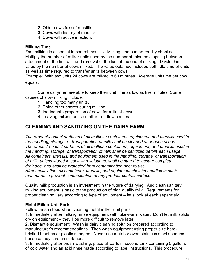- 2. Older cows free of mastitis.
- 3. Cows with history of mastitis
- 4. Cows with active infection.

#### **Milking Time**

Fast milking is essential to control mastitis. Milking time can be readily checked. Multiply the number of milker units used by the number of minutes elapsing between attachment of the first unit and removal of the last at the end of milking. Divide this value by the number of cows milked. The value obtained includes both idle time of units as well as time required to transfer units between cows.

Example: With two units 24 cows are milked in 60 minutes. Average unit time per cow equals:

 Some dairymen are able to keep their unit time as low as five minutes. Some causes of slow milking include:

- 1. Handling too many units.
- 2. Doing other chores during milking.
- 3. Inadequate preparation of cows for milk let-down.
- 4. Leaving milking units on after milk flow ceases.

# **CLEANING AND SANITIZING ON THE DAIRY FARM**

*The product-contact surfaces of all multiuse containers, equipment, and utensils used in the handling, storage, or transportation of milk shall be cleaned after each usage. The product-contact surfaces of all multiuse containers, equipment, and utensils used in the handling, storage, or transportation of milk shall be sanitized before each usage. All containers, utensils, and equipment used in the handling, storage, or transportation of milk, unless stored in sanitizing solutions, shall be stored to assure complete drainage, and shall be protected from contamination prior to use. After sanitization, all containers, utensils, and equipment shall be handled in such manner as to prevent contamination of any product-contact surface.* 

Quality milk production is an investment in the future of dairying. And clean sanitary milking equipment is basic to the production of high quality milk. Requirements for proper cleaning vary according to type of equipment – let's look at each separately.

#### **Metal Milker Unit Parts**

Follow these steps when cleaning metal milker unit parts:

1. Immediately after milking, rinse equipment with luke-warm water. Don't let milk solids dry on equipment – they'll be more difficult to remove later.

2. Dismantle equipment. Wash in dairy cleaning solution prepared according to manufacturer's recommendations. Then wash equipment using proper size hardbristled brushes or plastic sponges. Never use metal or even stainless steel sponges because they scratch surfaces.

3. Immediately after brush-washing, place all parts in second tank containing 5 gallons of cold water and an acid rinse made according to label instructions. This procedure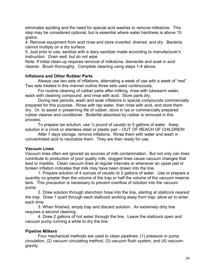eliminates spotting and the need for special acid washes to remove milkstone. This step may be considered optional, but is essential where water hardness is above 15 grains.

4. Remove equipment from acid rinse and store *inverted*, *drained, and dry.* Bacteria cannot multiply on a dry surface.

5. Just prior to use, sanitize with a dairy sanitizer made according to manufacturer's instruction. *Drain well, but do not wipe.* 

Note: If initial clean-up requires removal of milkstone, dismantle and soak in acid cleaner. Brush thoroughly. Complete cleaning using steps 1-4 above.

#### **Inflations and Other Rubber Parts**

Always use two sets of inflations, alternating a week of use with a week of "rest". Two sets treated in this manner outlive three sets used continuously.

For routine cleaning of rubber parts after milking, rinse with lukewarm water, wash with cleaning compound, and rinse with acid. Store parts dry.

 During rest periods, wash and soak inflations in special compounds commercially prepared for this purpose. Rinse with tap water, then rinse with acid, and store them dry. Or, to assist in preserving life of rubber, store in lye or commercially prepared rubber cleaner and conditioner. Butterfat absorbed by rubber is removed in this process.

To prepare lye solution, use  $\frac{1}{2}$  pound of caustic to 5 gallons of water. Keep solution in a crock or stainless steel or plastic pail – OUT OF REACH OF CHILDREN!

After 7 days storage, remove inflations. Rinse them with water and wash in concentrated acid to neutralize them. They are then ready for use.

#### **Vacuum Lines**

Vacuum lines often are ignored as sources of milk contamination. But not only can lines contribute to production of poor quality milk, clogged lines cause vacuum changes that lead to mastitis. Clean vacuum lines at regular intervals or whenever an upset pail or broken inflation indicates that milk may have been drawn into the line.

 1. Prepare solution of 4 ounces of caustic to 2 gallons of water. Use or prepare a quantity no greater than the volume of the trap or half the volume of the vacuum reserve tank. This precaution is necessary to prevent overflow of solution into the vacuum pump.

 2. Draw solution through stanchion hose into the line, *starting at stallcock nearest the trap.* Draw 1 quart through each stallcock working away from trap; allow air to enter each time.

 3. When finished, empty trap and discard solution. An extremely dirty line requires a second cleaning.

 4. Draw 2 gallons of hot water through the line. Leave the stallcock open and vacuum pump running a while to dry the line.

#### **Pipeline Milkers**

Four mechanical methods are used to clean pipelines: (1) pressure or pump circulation, (2) vacuum circulating method, (3) vacuum flush system, and (4) vacuumgravity.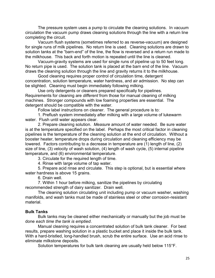The pressure system uses a pump to circulate the cleaning solutions. In vacuum circulation the vacuum pump draws cleaning solutions through the line with a return line completing the circuit.

 Vacuum flush systems (sometimes referred to as reverse-vacuum) are designed for single runs of milk pipelines. No return line is used. Cleaning solutions are drawn to solution tanks at the "barn-end" of the line, the flow is reversed and a return run made to the milkhouse. This back and forth motion is repeated until the line is cleaned.

 Vacuum-gravity systems are used for single runs of pipeline up to 50 feet long. No return pipe is used. The solution tank is placed at the barn end of the line. Vacuum draws the cleaning solution through the line and gravity returns it to the milkhouse.

 Good cleaning requires proper control of circulation time, detergent concentration, solution temperature, water hardness, and air admission. No step can be slighted. Cleaning must begin immediately following milking.

 Use only detergents or cleaners prepared specifically for pipelines. Requirements for cleaning are *different* from those for manual cleaning of milking machines. Stronger compounds with low foaming properties are essential. The detergent should be compatible with the water.

Follow label instructions on cleaner. The general procedure is to:

 1. Preflush system immediately after milking with a large volume of lukewarm water. Flush until water appears clear.

 2. Prepare cleaning solution. *Measure* amount of water needed. Be sure water is at the temperature specified on the label. Perhaps the most critical factor in cleaning pipelines is the temperature of the cleaning solution at the end of circulation. Without a booster heater, temperature drops during circulation and cleaning efficiency may be lowered. Factors contributing to a decrease in temperature are (1) length of line, (2) size of line, (3) velocity of wash solution, (4) length of wash cycle, (5) internal pipeline temperature, and (6) environmental temperature.

3. Circulate for the required length of time.

4. Rinse with large volume of tap water.

 5. Prepare acid rinse and circulate. This step is optional, but is essential where water hardness is above 15 grains.

6. Drain well.

 7. Within 1 hour before milking, sanitize the pipelines by circulating recommended strength of dairy sanitizer. Drain well.

 The cleaning solution circulating unit including pump or vacuum washer, washing manifolds, and wash tanks must be made of stainless steel or other corrosion-resistant material.

#### **Bulk Tanks**

Bulk tanks may be cleaned either mechanically or manually but the job must be done *each time the tank is emptied*.

 Manual cleaning requires a concentrated solution of bulk tank cleaner. For best results, prepare washing solution in a plastic bucket and place it inside the bulk tank. With a hard-bristled, long-handled brush, scrub the entire surface. Use an acid rinse to eliminate milkstone deposits.

Solution temperatures for bulk tank cleaning are usually held below 115°F.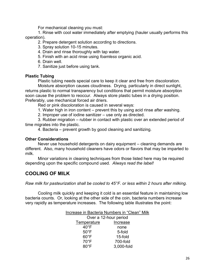For mechanical cleaning you must:

 1. Rinse with cool water immediately after emptying (hauler usually performs this operation).

2. Prepare detergent solution according to directions.

- 3. Spray solution 10-15 minutes.
- 4. Drain and rinse thoroughly with tap water.
- 5. Finish with an acid rinse using *foamless* organic acid.
- 6. Drain well.
- 7. Sanitize just before using tank.

#### **Plastic Tubing**

Plastic tubing needs special care to keep it clear and free from discoloration.

 Moisture absorption causes cloudiness. Drying, particularly in direct sunlight, returns plastic to normal transparency but conditions that permit moisture absorption soon cause the problem to reoccur. Always store plastic tubes in a drying position. Preferably, use mechanical forced air driers.

Red or pink discoloration is caused in several ways:

1. Water high in iron content – prevent this by using acid rinse after washing.

2. Improper use of iodine sanitizer – use only as directed.

 3. Rubber migration – rubber in contact with plastic over an extended period of time migrates into the plastic.

4. Bacteria – prevent growth by good cleaning and sanitizing.

#### **Other Considerations**

Never use household detergents on dairy equipment – cleaning demands are different. Also, many household cleaners have odors or flavors that may be imparted to milk.

 Minor variations in cleaning techniques from those listed here may be required depending upon the specific compound used. *Always read the label!* 

# **COOLING OF MILK**

*Raw milk for pasteurization shall be cooled to 45°F. or less within 2 hours after milking.* 

Cooling milk quickly and keeping it cold is an essential feature in maintaining low bacteria counts. Or, looking at the other side of the coin, bacteria numbers increase very rapidly as temperature increases. The following table illustrates the point:

|                       | Increase in Bacteria Numbers in "Clean" Milk |  |
|-----------------------|----------------------------------------------|--|
| Over a 12-hour period |                                              |  |
| Temperature           | Increase                                     |  |
| $40^{\circ}$ F        | none                                         |  |
| $50^{\circ}$ F        | 5-fold                                       |  |
| $60^{\circ}$ F        | 15-fold                                      |  |
| $70^{\circ}$ F        | 700-fold                                     |  |
| $80^{\circ}$ F        | 3,000-fold                                   |  |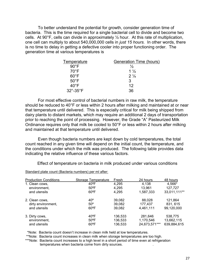To better understand the potential for growth, consider generation time of bacteria. This is the time required for a single bacterial cell to divide and become two cells. At 90°F, cells can divide in approximately ½ hour. At this rate of multiplication, one cell can multiply to about 540,000,000 cells in *just 15 hours.* In other words, there is no time to delay in getting a defective cooler into proper functioning order. The generation time at various temperatures is

| Temperature             | <b>Generation Time (hours)</b> |
|-------------------------|--------------------------------|
| $90^{\circ}$ F          | $\frac{1}{2}$                  |
| $70^{\circ}$ F          | $1\frac{1}{2}$                 |
| $60^{\circ}$ F          | $2\frac{1}{4}$                 |
| $50^{\circ}$ F          | 3                              |
| $40^{\circ}$ F          | 12                             |
| $32^\circ - 35^\circ$ F | 36                             |

 For most effective control of bacterial numbers in raw milk, the temperature should be reduced to 40°F or less within 2 hours after milking and maintained at or near that temperature until delivered. This is especially critical for milk being shipped from dairy plants to distant markets, which may require an additional 2 days of transportation prior to reaching the point of processing. However, the Grade "A" Pasteurized Milk Ordinance requires only that milk be cooled to 50°F or less within 2 hours after milking and maintained at that temperature until delivered.

 Even though bacteria numbers are kept down by cold temperatures, the total count reached in any given time will depend on the initial count, the temperature, and the conditions under which the milk was produced. The following table provides data indicating the relative influence of these various factors.

Effect of temperature on bacteria in milk produced under various conditions

| <b>Production Conditions</b> | Storage Temperature | Fresh   | 24 hours      | 48 hours     |
|------------------------------|---------------------|---------|---------------|--------------|
| 1. Clean cows,               | $40^{\circ}$ F      | 4,295   | 4,138         | 4,566*       |
| environment,                 | $50^{\circ}$ F      | 4,295   | 13.961        | 127,727      |
| and utensils                 | $60^{\circ}$ F      | 4.295   | 1,587,333     | 33,011,111** |
| 2. Clean cows,               | $40^\circ$          | 39,082  | 88.028        | 121,864      |
| dirty environment,           | $50^\circ$          | 39,082  | 177,437       | 831, 615     |
| and utensils                 | $60^{\circ}$ F      | 39,082  | 4,461,111     | 99,120,000   |
| 3. Dirty cows,               | $40^{\circ}$ F      | 136,533 | 281,646       | 538,775      |
| environment,                 | $50^{\circ}$ F      | 136,533 | 1,170,546     | 13,662,115   |
| and utensils                 | $60^{\circ}$ F      | 136,533 | 24,673,571*** | 639,884,615  |

Standard plate count (Bacteria numbers) per ml after:

\*Note: Bacteria count doesn't increase in clean milk held at low temperatures.

\*\*Note: Bacteria count increases in clean milk when storage temperatures are too high.

\*\*\*Note: Bacteria count increases to a high level in a short period of time even at refrigeration temperatures when bacteria come from dirty sources. .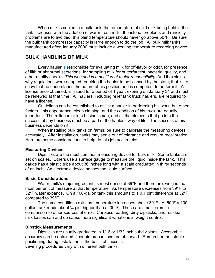When milk is cooled in a bulk tank, the temperature of cold milk being held in the tank increases with the addition of warm fresh milk. If bacterial problems and rancidity problems are to avoided, this blend temperature should never go above 50°F. Be sure the bulk tank compressor capacity is large enough to do the job. All bulk milk tanks manufactured after January 2000 must include a working temperature recording device.

#### **BULK HANDLING OF MILK**

Every hauler is responsible for evaluating milk for off-flavor or odor, for presence of filth or abnormal secretions, for sampling milk for butterfat test, bacterial quality, and other quality checks. *This was and is a position of major responsibility*. And it explains why regulations were adopted requiring the hauler to be licensed by the state; that is, to show that he understands the nature of his position and is competent to perform it. A license once obtained, is issued for a period of 1 year, expiring on January 31 and must be renewed at that time. All haulers, including relief tank truck haulers, are required to have a license.

 Guidelines can be established to assist a hauler in performing his work, but other factors – his appearance, clean clothing, and the condition of his truck are equally important. The milk hauler is a businessman, and all the elements that go into the success of any business must be a part of the hauler's way of life. The success of his business depends on it.

 When installing bulk tanks on farms, be sure to calibrate the measuring devices accurately. After installation, tanks may settle out of tolerance and require recalibration. Here are some considerations to help do this job accurately:

#### **Measuring Devices**

 Dipsticks are the most common measuring device for bulk milk. Some tanks are set on scales. Others use a surface gauge to measure the liquid inside the tank. This gauge has a plastic tube about 36 inches long with a scale graduated in thirty seconds of an inch. An electronic device senses the liquid surface.

#### **Basic Considerations**

 Water, milk's major ingredient, is most dense at 39°F and therefore, weighs the most per unit of measure at that temperature. As temperature decreases from 39°F to 32°F water expands. On a 100-gallon tank this amounts to a 0.1 pint difference at 32°F compared to 39°F.

The same conditions exist as temperature increases above 39°F. At 50°F a 100 gallon tank reads about ¼ pint higher than at 39°F. These are small errors in comparison to other sources of error. Careless reading, dirty dipsticks, and residual milk losses can and do cause more significant variations in weight control.

#### **Dipstick Measurements**

 Dipsticks are usually graduated in 1/16 or 1/32 inch subdivisions. Acceptable accuracy can be obtained if certain precautions are observed. Remember that stable positioning during installation is the basis of success.

Leveling procedures vary with different bulk tanks.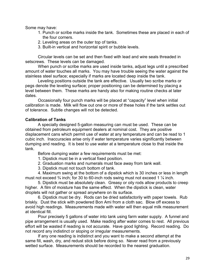Some may have:

- 1. Punch or scribe marks inside the tank. Sometimes these are placed in each of the four corners.
- 2. Leveling areas on the outer top of tanks.
- 3. Built-in vertical and horizontal spirit or bubble levels.

 Circular levels can be set and then fixed with lead and wire seals threaded in setscrews. These levels can be damaged.

 When punch or scribe marks are used inside tanks, adjust legs until a prescribed amount of water touches all marks. You may have trouble seeing the water against the stainless steel surface; especially if marks are located deep inside the tank.

 Leveling positions outside the tank are effective. Usually two scribe marks or pegs denote the leveling surface; proper positioning can be determined by placing a level between them. These marks are handy also for making routine checks at later dates.

 Occasionally four punch marks will be placed at "capacity" level when initial calibration is made. Milk will flow out one or more of these holes if the tank settles out of tolerance. Subtle changes will not be detected.

#### **Calibration of Tanks**

 A specially designed 5-gallon measuring can must be used. These can be obtained from petroleum equipment dealers at nominal cost. They are positive displacement cans which permit use of water at any temperature and can be read to 1 cubic inch. Inaccuracies arise only if water temperature varies significantly between dumping and reading. It is best to use water at a temperature close to that inside the tank.

Before dumping water a few requirements must be met:

- 1. Dipstick must be in a vertical fixed position.
- 2. Graduation marks and numerals must face away from tank wall.
- 3. Dipstick must not touch bottom of tank.

 4. Maximum swing at the bottom of a dipstick which is 30 inches or less in length must not exceed ¾ inch; for 30 to 60-inch rods swing must not exceed 1 ¼ inch.

 5. Dipstick must be absolutely clean. Greasy or oily rods allow products to creep higher. A film of moisture has the same effect. When the dipstick is clean, water droplets will not gather or spread anywhere on its surface.

 6. Dipstick must be dry. Rods can be dried satisfactorily with paper towels. Rub briskly. Dust the stick with powdered Bon Ami from a cloth sac. Blow off excess to avoid high readings. Measurements made with water will then equal milk measurement at identical fill.

 Pour precisely 5 gallons of water into tank using farm water supply. A funnel and pipe arrangement is usually used. Make reading after water comes to rest. All previous effort will be wasted if reading is not accurate. Have good lighting. Record reading. Do not record any indistinct or sloping or irregular measurements.

 If any one reading is indistinct and you want to make a second attempt at the same fill, wash, dry, and redust stick before doing so. Never read from a previously wetted surface. Measurements should be recorded to the nearest graduation.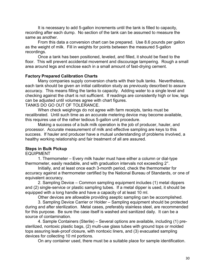It is necessary to add 5-gallon increments until the tank is filled to capacity, recording after each dump. No section of the tank can be assumed to measure the same as another.

 From this data a conversion chart can be prepared. Use 8.6 pounds per gallon as the weight of milk. Fill in weights for points between the measured 5-gallon recordings.

 Once a tank has been positioned, leveled, and filled, it should be fixed to the floor. This will prevent accidental movement and discourage tampering. Rough a small area around legs and enclose each in a small amount of fast-drying cement.

#### **Factory Prepared Calibration Charts**

 Many companies supply conversion charts with their bulk tanks. Nevertheless, each tank should be given an initial calibration study as previously described to assure accuracy. This means filling the tanks to capacity. Adding water to a single level and checking against the chart is not sufficient. If readings are consistently high or low, legs can be adjusted until volumes agree with chart figures.

TANKS DO GO OUT OF TOLERANCE.

 When check weighings do not agree with farm receipts, tanks must be recalibrated. Until such time as an accurate metering device may become available, this requires use of the rather tedious 5-gallon unit procedure.

 Making a success of a bulk milk operation is the job of producer, hauler, and processor. Accurate measurement of milk and effective sampling are keys to this success. If hauler and producer have a mutual understanding of problems involved, a healthy working relationship and fair treatment of all are assured.

#### **Steps in Bulk Pickup**

EQUIPMENT

 1. Thermometer – Every milk hauler must have either a column or dial-type thermometer, easily readable, and with graduation intervals not exceeding 2°.

Initially, and at least once each 3-month period, check the thermometer for accuracy against a thermometer certified by the National Bureau of Standards, or one of equivalent accuracy.

 2. Sampling Device – Common sampling equipment includes (1) metal dippers and (2) single-service or plastic sampling tubes. If a metal dipper is used, it should be equipped with a long handle and have a capacity of at least 10 ml.

Other devices are allowable providing aseptic sampling can be accomplished.

 3. Sampling Device Carrier or Holder – Sampling equipment should be protected during and after sterilization. Metal cases, preferably stainless steel, are recommended for this purpose. Be sure the case itself is washed and sanitized daily. It can be a source of contamination.

 4. Sample Containers (Sterile) – Several options are available, including (1) presterilized, nontoxic plastic bags, (2) multi-use glass tubes with ground tops or molded tops assuring leak-proof closure, with nontoxic liners, and (3) evacuated sampling devices for collecting 10 ml portions.

On any container used, there must be a suitable place for sample identification.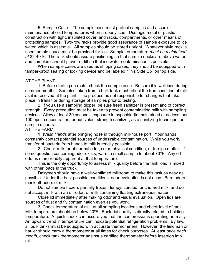5. Sample Case – The sample case must protect samples and assure maintenance of cold temperatures when properly iced. Use rigid metal or plastic construction with tight, insulated cover, and racks, compartments, or other means of protecting samples. Two-row racks provide good assurance of sample exposure to ice water, which is essential. All samples should be stored upright. Whatever style rack is used, ample space must be provided for ice. Sample temperature *must be maintained at* 32-40◦F. The rack should assure positioning so that sample necks are above water and samples cannot tip over or tilt so that ice water contamination is possible.

 When sample cases are used as shipping cases, they should be equipped with tamper-proof sealing or locking device and be labeled "This Side Up" on top side.

#### AT THE PLANT

 1. Before starting on route, check the sample case. Be sure it is well iced during summer months. Samples taken from a bulk tank must reflect the true condition of milk as it is received at the plant. The producer is not responsible for changes that take place in transit or during storage of samples prior to testing.

 2. If you use a sampling dipper, be sure fresh sanitizer is present and of correct strength. Every precaution must be taken to prevent contaminating milk with sampling devices. Allow at least 30 seconds' exposure in hypochlorite maintained at no less than 100 ppm. concentration, or equivalent strength sanitizer, as a sanitizing technique for sample dippers.

#### AT THE FARM

 1. *Wash Hands* after bringing hose in through milkhouse port. Your hands constantly contact potential sources of undesirable contamination. While you work, transfer of bacteria from hands to milk is readily possible.

2. Check milk for abnormal odor, color, physical condition, or foreign matter. If some question concerning odor exists, warm a small sample to about 70°F. Any offodor is more readily apparent at that temperature.

 This is the only opportunity to assess milk quality before the tank load is mixed with other loads in the truck.

 Dairymen should have a well-ventilated milkroom to make this task as easy as possible. Under the best possible conditions, odor evaluation is not easy. Barn odors mask off-odors of milk.

 Do not sample frozen, partially frozen, lumpy, curdled, or churned milk, and do not accept milk with an off-odor, or milk containing floating extraneous matter.

 Close lid immediately after making odor and visual evaluation. Open lids are sources of dust and fly contamination even as you work.

 3. Check temperature of milk at all sampling locations and check level of tank. Milk temperature should be below 40ºF. Bacterial quality is directly related to holding temperature. A quick check can assure you that the compressor is operating normally. An upward trend in temperature can indicate potential refrigeration problems. By law, all bulk tanks must be equipped with accurate thermometers. However, the fieldman or hauler should carry a thermometer at all times for check purposes. At least *once each month*, check tank thermometer against a certified thermometer before insertion into milk.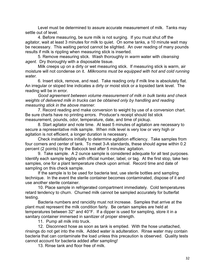Level must be determined to assure accurate measurement of milk. Tanks may settle out of level.

 4. Before measuring, be sure milk is not surging. If you must shut off the agitator, wait at least 3 minutes for milk to quiet. On some tanks, a 10 minute wait may be necessary. This waiting period cannot be slighted. An over reading of many pounds results if milk is rippling when measuring stick is inserted.

 5. Remove measuring stick. Wash thoroughly in *warm* water with *cleansing agent.* Dry thoroughly with a disposable tissue.

 Milk creeps up on a dirty or wet measuring stick. If measuring stick is warm, air moisture will not condense on it. *Milkrooms must be equipped with hot and cold running water.* 

 6. Insert stick, remove, and read. Take reading only if milk line is absolutely flat. An irregular or sloped line indicates a dirty or moist stick or a lopsided tank level. The reading will be in error.

*Good agreement between volume measurement of milk in bulk tanks and check weights of delivered milk in trucks can be obtained only by handling and reading measuring stick in the above manner.* 

7. Record reading and make conversion to weight by use of a conversion chart. Be sure charts have no printing errors. Producer's receipt should list stick measurement, pounds, odor, temperature, date, and time of pickup.

 8. Start agitator and note time. At least 5 minutes of agitation are necessary to secure a representative milk sample. When milk level is very low or very high or agitation is not efficient, a longer duration is necessary.

 Check installations initially to determine agitation efficiency. Take samples from four corners and center of tank. To meet 3-A standards, these should agree within 0.2 percent (2 points) by the Babcock test after 5 minutes' agitation.

 9. Take sample. A 2 ounce sample is considered adequate for all test purposes. Identify each sample legibly with official number, label, or tag. At the first stop, take two samples, one for a plant temperature check upon arrival. Record time and date of sampling on this check sample.

 If the sample is to be used for bacteria test, use sterile bottles and sampling technique. In the event the sterile container becomes contaminated, dispose of it and use another sterile container.

 10. Place sample in refrigerated compartment immediately. Cold temperatures retard tendency to churn. Churned milk cannot be sampled accurately for butterfat testing.

 Bacteria numbers and rancidity must not increase. Samples that arrive at the plant must represent the milk condition fairly. Be certain samples are held at temperatures between 32° and 40°F. If a dipper is used for sampling, store it in a sanitary container immersed in sanitizer of proper strength.

11. Pump all milk into truck.

 12. Disconnect hose as soon as tank is emptied. With the hose unattached, rinsings do not get into the milk. Added water is adulteration. Rinse water may contain bacteria that can contaminate the load unless this precaution is observed. Quality tests cannot account for bacteria added after sampling!

13. Rinse tank and floor free of milk.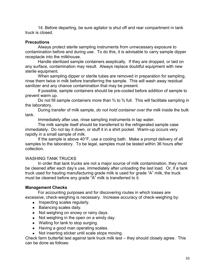14. Before departing, be sure agitator is shut off and rear compartment in tank truck is closed.

#### **Precautions**

 Always protect sterile sampling instruments from unnecessary exposure to contamination before and during use. To do this, it is advisable to carry sample dipper receptacle into the milkhouse.

 Handle sterilized sample containers aseptically. If they are dropped, or laid on any surface, contamination may result. Always replace doubtful equipment with new sterile equipment.

 When sampling dipper or sterile tubes are removed in preparation for sampling, rinse them twice in milk before transferring the sample. This will wash away residual sanitizer and any chance contamination that may be present.

 If possible, sample containers should be pre-cooled before addition of sample to prevent warm up.

 Do not fill sample containers more than ⅔ to ¾ full. This will facilitate sampling in the laboratory.

 During transfer of milk sample, *do not hold container over the milk* inside the bulk tank.

Immediately after use, rinse sampling instruments in tap water.

 The milk sample itself should be transferred to the refrigerated sample case immediately. Do not lay it down, or stuff it in a shirt pocket. Warm-up occurs very rapidly in a small sample of milk.

 If the sample is above 40°F, use a cooling bath. Make a prompt delivery of all samples to the laboratory. To be legal, samples must be tested within 36 hours after collection.

#### WASHING TANK TRUCKS

 In order that tank trucks are not a major source of milk contamination, they must be cleaned after each day's use, immediately after unloading the last load. Or, if a tank truck used for hauling manufacturing grade milk is used for grade "A" milk, the truck must be cleaned before any grade "A" milk is transferred to it.

#### **Management Checks**

 For accounting purposes and for discovering routes in which losses are excessive, check-weighing is necessary. Increase accuracy of check-weighing by:

- Inspecting scales regularly.
- Balancing scales daily.
- Not weighing on snowy or rainy days.
- Not weighing in the open on a windy day.
- Waiting for tank to stop surging.
- Having a good man operating scales.
- Not inserting sticker until scale stops moving.

Check farm butterfat test against tank truck milk test – they should closely agree. This can be done as follows: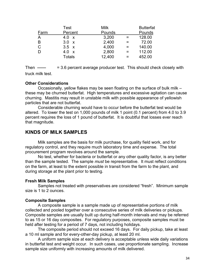| Test                | <b>Milk</b> |     | <b>Butterfat</b> |
|---------------------|-------------|-----|------------------|
| Percent             | Pounds      |     | Pounds           |
| 4.0<br>$\mathbf{x}$ | 3,200       | $=$ | 128.00           |
| 3.0<br>$\mathbf{x}$ | 2,400       | =   | 72.00            |
| $3.5 \times$        | 4,000       | =   | 140.00           |
| 4.0<br>$\mathsf{X}$ | 2,800       | $=$ | 112.00           |
| Totals              | 12,400      | =   | 452.00           |
|                     |             |     |                  |

Then  $\frac{1}{\sqrt{1-\frac{1}{\sqrt{1-\frac{1}{\sqrt{1-\frac{1}{\sqrt{1-\frac{1}{\sqrt{1-\frac{1}{\sqrt{1-\frac{1}{\sqrt{1-\frac{1}{\sqrt{1-\frac{1}{\sqrt{1-\frac{1}{\sqrt{1-\frac{1}{\sqrt{1-\frac{1}{\sqrt{1-\frac{1}{\sqrt{1-\frac{1}{\sqrt{1-\frac{1}{\sqrt{1-\frac{1}{\sqrt{1-\frac{1}{\sqrt{1-\frac{1}{\sqrt{1-\frac{1}{\sqrt{1-\frac{1}{\sqrt{1-\frac{1}{\sqrt{1-\frac{1}{\sqrt{1-\frac{1}{\sqrt{1-\frac{1}{\sqrt{$ truck milk test.

#### **Other Considerations**

Occasionally, yellow flakes may be seen floating on the surface of bulk milk – these may be churned butterfat. High temperatures and excessive agitation can cause churning. Mastitis may result in unstable milk with possible appearance of yellowish particles that are not butterfat.

 Considerable churning would have to occur before the butterfat test would be altered. To lower the test on 1,000 pounds of milk 1 point (0.1 percent) from 4.0 to 3.9 percent requires the loss of 1 pound of butterfat. It is doubtful that losses ever reach that magnitude.

#### **KINDS OF MILK SAMPLES**

 Milk samples are the basis for milk purchase, for quality field work, and for regulatory control, and they require much laboratory time and expense. The total procurement program revolves around the sample.

 No test, whether for bacteria or butterfat or any other quality factor, is any better than the sample tested. The sample *must* be representative. It must reflect conditions on the farm, at least to the extent possible in transit from the farm to the plant, and during storage at the plant prior to testing.

#### **Fresh Milk Samples**

 Samples not treated with preservatives are considered "fresh". Minimum sample size is 1 to 2 ounces.

#### **Composite Samples**

 A composite sample is a sample made up of representative portions of milk collected and pooled together over a consecutive series of milk deliveries or pickups. Composite samples are usually built up during half-month intervals and may be referred to as 15 or 16 day composites. For regulatory purposes, composite samples must be held after testing for a period of 7 days, not including holidays.

 The composite period should not exceed 16 days. For daily pickup, take at least a 10 ml sample and for every-other-day pickup, at least 20 ml.

A uniform sample size at each delivery is acceptable unless wide daily variations in butterfat test and weight occur. In such cases, use proportionate sampling. Increase sample size uniformly with increasing amounts of milk delivered.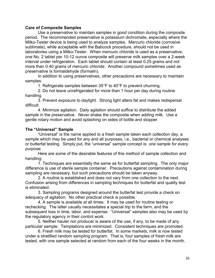#### **Care of Composite Samples**

 Use a preservative to maintain samples in good condition during the composite period. The recommended preservative is potassium dichromate, especially where the Milko-Tester device is being used to analyze samples. Mercuric chloride (corrosive sublimate), while acceptable with the Babcock procedure, should not be used in laboratories using a Milko-Tester. When mercuric chloride is used as a preservative, one No. 2 tablet per 10-12 ounce composite will preserve milk samples over a 2-week interval under refrigeration. Each tablet should contain at least 0.25 grams and not more than 0.40 grams of mercuric chloride. Another compound sometimes used as preservative is formaldehyde (formalin).

 In addition to using preservatives, other precautions are necessary to maintain samples:

1. Refrigerate samples between 35°F to 40°F to prevent churning.

2. Do not leave unrefrigerated for more than 1 hour per day during routine handling.

 3. Prevent exposure to daylight. Strong light alters fat and makes redispersal difficult.

 4. Minimize agitation. Daily agitation should suffice to distribute the added sample in the preservative. *Never* shake the composite when adding milk. Use a gentle rotary motion and avoid splashing on sides of bottle and stopper.

#### **The "Universal" Sample**

 "Universal" is the name applied to a fresh sample taken each collection day, a sample which may be used for any and all purposes, i.e., bacterial or chemical analyses or butterfat testing. Simply put, the "universal" sample concept is: *one sample for every purpose.* 

Here are some of the desirable features of this method of sample collection and handling:

 1. Techniques are essentially the same as for butterfat sampling. The only major difference is use of sterile sample container. Precautions against contamination during sampling are necessary, but such precautions should be taken anyway.

 2. A routine is established and does not vary from one collection to the next. Confusion arising from differences in sampling techniques for butterfat and quality test is eliminated.

 3. Sampling programs designed around the butterfat test provide a check on adequacy of agitation. No other practical check is possible.

 4. A sample is available at all times. It may be used for routine testing or rechecking. The latter usually necessitates a special trip to the farm, and the subsequent loss in time, labor, and expense. "Universal" samples also may be used by the regulatory agency in their control work.

 5. Neither hauler nor producer is aware of the use, if any, to be made of any particular sample. Temptations are minimized. Consistent techniques are promoted.

 6. Fresh milk may be tested for butterfat. In some markets, milk is now tested under a stratified random sampling program. That is, four samples of fresh milk are tested, with one sample selected at random from each of the four weeks in the month.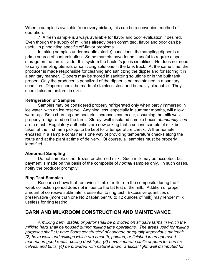When a sample is available from every pickup, this can be a convenient method of operation.

 7. A fresh sample is always available for flavor and odor evaluation if desired. Even though the supply of milk has already been committed, flavor and odor can be useful in pinpointing specific off-flavor problems.

 In taking samples under aseptic (sterile) conditions, the sampling dipper is a prime source of contamination. Some markets have found it useful to require dipper storage on the farm. Under this system the hauler's job is simplified. He does not need to carry sampling utensils or sanitizing solutions in the tank truck. At the same time, the producer is made responsible for cleaning and sanitizing the dipper and for storing it in a sanitary manner. Dippers may be stored in sanitizing solutions or in the bulk tank proper. Only the producer is penalized of the dipper is not maintained in a sanitary condition. Dippers should be made of stainless steel and be easily cleanable. They should also be uniform in size.

#### **Refrigeration of Samples**

 Samples may be considered properly refrigerated only when partly immersed in ice water, with an ice reserve. Anything less, especially in summer months, will allow warm-up. Both churning and bacterial increases can occur, assuming the milk was properly refrigerated on the farm. Sturdy, well-insulated sample boxes *abundantly iced* are a must. Regulatory authorities are now asking that a second sample of milk be taken at the first farm pickup, to be kept for a temperature check. A thermometer encased in a sample container is one way of providing temperature checks along the route and at the plant at time of delivery. Of course, all samples must be properly identified.

### **Abnormal Sampling**

 Do not sample either frozen or churned milk. Such milk may be accepted, but payment is made on the basis of the composite of *normal* samples only. In such cases, notify the producer promptly.

### **Ring Test Samples**

 Research shows that removing 1 ml. of milk from the composite during the 2 week collection period does not influence the fat test of the milk. Addition of proper amount of corrosive sublimate is essential to ring test. Excessive quantities of preservative (more than one No.2 tablet per 10 to 12 ounces of milk) may render milk useless for ring testing.

## **BARN AND MILKROOM CONSTRUCTION AND MAINTENANCE**

*A milking barn, stable, or parlor shall be provided on all dairy farms in which the milking herd shall be housed during milking time operations. The areas used for milking purposes shall (1) have floors constructed of concrete or equally impervious material; (2) have walls and ceilings which are smooth, painted, or finished in an approved manner, in good repair, ceiling dust-tight; (3) have separate stalls or pens for horses, calves, and bulls; (4) be provided with natural and/or artificial light, well distributed for*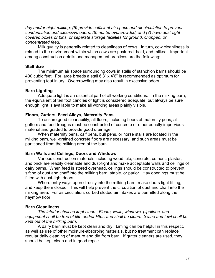*day and/or night milking; (5) provide sufficient air space and air circulation to prevent condensation and excessive odors; (6) not be overcrowded; and (7) have dust-tight covered boxes or bins, or separate storage facilities for ground, chopped, or concentrated feed.*

Milk quality is generally related to cleanliness of cows. In turn, cow cleanliness is related to the environment within which cows are pastured, held, and milked. Important among construction details and management practices are the following:

#### **Stall Size**

 The minimum air space surrounding cows in stalls of stanchion barns should be 400 cubic feet. For large breeds a stall 6'3" x 4'6" is recommended as optimum for preventing teat injury. Overcrowding may also result in excessive odors.

#### **Barn Lighting**

 Adequate light is an essential part of all working conditions. In the milking barn, the equivalent of ten foot candles of light is considered adequate, but always be sure enough light is available to make all working areas plainly visible.

#### **Floors, Gutters, Feed Alleys, Maternity Pens**

 To assure good cleanability, all floors, including floors of maternity pens, all gutters and feed troughs must be constructed of concrete or other equally impervious material and graded to provide good drainage.

 When maternity pens, calf pens, bull pens, or horse stalls are located in the milking barn, well-drained concrete floors are necessary, and such areas must be partitioned from the milking area of the barn.

#### **Barn Walls and Ceilings, Doors and Windows**

 Various construction materials including wood, tile, concrete, cement, plaster, and brick are readily cleanable and dust-tight and make acceptable walls and ceilings of dairy barns. When feed is stored overhead, ceilings should be constructed to prevent sifting of dust and chaff into the milking barn, stable, or parlor. Hay openings must be fitted with dust-tight doors.

 Where entry ways open directly into the milking barn, make doors tight fitting, and keep them closed. This will help prevent the circulation of dust and chaff into the milking area. For air circulation, curbed slotted air intakes are permitted along the haymow floor.

### **Barn Cleanliness**

*The interior shall be kept clean. Floors, walls, windows, pipelines, and equipment shall be free of filth and/or litter, and shall be clean. Swine and fowl shall be kept out of the milking barn.* 

 A dairy barn must be kept clean and dry. Liming can be helpful in this respect, as well as use of other moisture-absorbing materials, but no treatment can replace regular daily cleaning of manure and dirt from barn. If gutter cleaners are used, they should be kept clean and in good repair.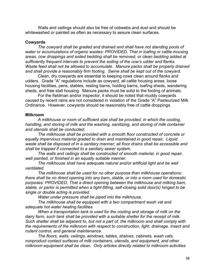Walls and ceilings should also be free of cobwebs and dust and should be whitewashed or painted as often as necessary to assure clean surfaces.

#### **Cowyards**

*The cowyard shall be graded and drained and shall have not standing pools of water or accumulations of organic wastes: PROVIDED, That in loafing or cattle-housing areas, cow droppings and soiled bedding shall be removed, or clean bedding added at sufficiently frequent intervals to prevent the soiling of the cow's udder and flanks. Waste feed shall not be allowed to accumulate. Manure packs shall be properly drained and shall provide a reasonably firm footing. Swine shall be kept out of the cowyard.* 

Clean, dry cowyards are essential to keeping cows clean around flanks and udders. Grade "A" regulations include as cowyard, all cattle housing areas, loose housing facilities, pens, stables, resting barns, holding barns, loafing sheds, wandering sheds, and free stall housing. Manure packs must be solid to the footing of animals.

 For the fieldman and/or inspector, it should be noted that muddy cowyards caused by recent rains are not considered in violation of the Grade "A" Pasteurized Milk Ordinance. However, cowyards should be reasonably free of cattle droppings.

#### **Milkroom**

*A milkhouse or room of sufficient size shall be provided, in which the cooling, handling, and storing of milk and the washing, sanitizing, and storing of milk container and utensils shall be conducted.* 

 *The milkhouse shall be provided with a smooth floor constructed of concrete or equally impervious material graded to drain and maintained in good repair. Liquid waste shall be disposed of in a sanitary manner; all floor drains shall be accessible and shall be trapped if connected to a sanitary sewer system.* 

 *The walls and ceilings shall be constructed of smooth material, in good repair, well painted, or finished in an equally suitable manner.* 

 *The milkhouse shall have adequate natural and/or artificial light and be well ventilated.* 

 *The milkhouse shall be used for no other purpose than milkhouse operations; there shall be no direct opening into any barn, stable, or into a room used for domestic purposes: PROVIDED, That a direct opening between the milkhouse and milking barn, stable, or parlor is permitted when a tight-fitting, self-closing solid door(s) hinged to be single or double acting is provided.* 

 *Water under pressure shall be piped into the milkhouse.* 

 *The milkhouse shall be equipped with a two compartment wash vat and adequate hot water heating facilities.* 

 *When a transportation tank is used for the cooling and storage of milk on the dairy farm, such tank shall be provided with a suitable shelter for the receipt of milk. Such shelter shall be adjacent to, but not a part of, the milkroom and shall comply with the requirements of the milkroom with respect to construction, light, drainage, insect and rodent control, and general maintenance.* 

 *The floors, walls, ceilings, windows, tables, shelves, cabinets, wash vats, nonproduct contact surfaces of milk containers, utensils, and equipment, and other milkroom equipment shall be clean. Only articles directly related to milkroom activities*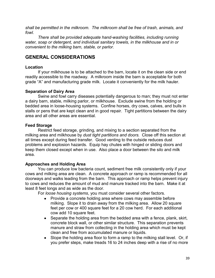*shall be permitted in the milkroom. The milkroom shall be free of trash, animals, and fowl.* 

 *There shall be provided adequate hand-washing facilities, including running water, soap or detergent, and individual sanitary towels, in the milkhouse and in or convenient to the milking barn, stable, or parlor.* 

# **GENERAL CONSIDERATIONS**

## **Location**

 If your milkhouse is to be attached to the barn, locate it on the clean side or end readily accessible to the roadway. A milkroom inside the barn is acceptable for both grade "A" and manufacturing grade milk. Locate it conveniently for the milk hauler.

## **Separation of Dairy Area**

 Swine and fowl carry diseases potentially dangerous to man; they must not enter a dairy barn, stable, milking parlor, or milkhouse. Exclude swine from the holding or bedded area in loose-housing systems. Confine horses, dry cows, calves, and bulls in stalls or pens that are kept clean and in good repair. Tight partitions between the dairy area and all other areas are essential.

## **Feed Storage**

 Restrict feed storage, grinding, and mixing to a section separated from the milking area and milkhouse by *dust tight partitions and doors.* Close off this section at all times except during feed transfer. Good venting to the outside reduces dust problems and explosion hazards. Equip hay chutes with hinged or sliding doors and keep them closed except when in use. Also place a door between the silo and milk area.

## **Approaches and Holding Area**

 You can produce low bacteria count, sediment free milk consistently only if your cows and milking area are clean. A concrete approach or ramp is recommended for all doorways and walks leading from the barn. This approach or ramp helps prevent injury to cows and reduces the amount of mud and manure tracked into the barn. Make it at least 8 feet longs and as wide as the door.

For *loose housing systems*, you must consider several other factors.

- Provide a concrete holding area where cows may assemble before milking. Slope it to drain away from the milking area. Allow 20 square feet per cow or 400 square feet for a 20 cow herd. For each additional cow add 10 square feet.
- Separate the holding area from the bedded area with a fence, plank, skirt, concrete block wall, or other similar structure. This separation prevents manure and straw from collecting in the holding area which must be kept clean and free from accumulated manure or liquids.
- Slope the holding area floor to form a ramp to the milking stall level. Or, if you prefer steps, make treads 16 to 24 inches deep with a rise of no more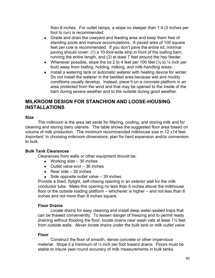than 8 inches. For outlet ramps, a slope no steeper than 1:4 (3 inches per foot to run) is recommended.

- Grade and drain the cowyard and feeding area and keep them free of standing pools and manure accumulations. A paved area of 100 square feet per cow is recommended. If you don't pave the entire lot, minimal paving should cover: (1) a 10-foot-wide strip in front of the loafing barn, running the entire length, and (2) at least 7 feet around the hay feeder.
- Whenever possible, slope the lot 2 to 4 feet per 100 feet  $(\frac{1}{4}$  to  $\frac{1}{2}$  inch per foot) away from loafing, holding, milking, and milk-handling areas.
- Install a watering tank or automatic waterer with heating device for winter. Do not install the waterer in the bedded area because wet and muddy conditions usually develop. Instead, place it on a *concrete* platform in an area protected from the wind and that may be opened to the inside of the barn during severe weather and to the outside during good weather.

## **MILKROOM DESIGN FOR STANCHION AND LOOSE-HOUSING INSTALLATIONS**

### **Size**

 The milkroom is the area set aside for filtering, cooling, and storing milk and for cleaning and storing dairy utensils. The table shows the suggested floor area based on volume of milk production. The minimum recommended milkhouse size in 12 x14 feet. *Important*: In choosing milkroom dimensions, plan for herd expansion and/or conversion to bulk.

#### **Bulk Tank Clearances**

Clearances from walls or other equipment should be:

- Working side  $-30$  inches
- $\bullet$  Outlet valve end  $-36$  inches
- Rear side  $-30$  inches
- Side opposite outlet valve 30 inches

Provide a fixed, flytight, self-closing opening in an exterior wall for the milk conductor tube. Make this opening no less than 6 inches above the milkhouse floor or the outside loading platform – whichever is higher – and not less than 6 inches and not more than 8 inches square.

### **Floor Drains**

 Locate drains for easy cleaning and install deep water-sealed traps that can be thawed conveniently. To lessen danger of freezing and to permit ready draining without flooding the floor, locate drains near wash vats at least 1½ feet from outside walls. *Never locate drains under the bulk tank or milk outlet valve.* 

#### **Floor**

 Construct the floor of smooth, dense concrete or other impervious material. Slope it a minimum of  $\frac{1}{4}$  inch per foot toward drains. Floors must be stable to insure year-round accuracy of milk measurements in bulk tanks.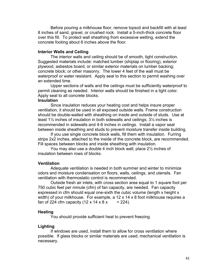Before pouring a milkhouse floor, remove topsoil and backfill with at least 8 inches of sand, gravel, or crushed rock. Install a 5-inch-thick concrete floor over this fill. To protect wall sheathing from excessive wetting, extend the concrete footing about 6 inches above the floor.

#### **Interior Walls and Ceiling**

 The interior walls and ceiling should be of smooth, tight construction. Suggested materials include: matched lumber (shiplap or flooring), exterior plywood, asbestos board, or similar exterior materials on lumber backing; concrete block; or other masonry. The lower 4 feet of the wall must be waterproof or water resistant. Apply seal to this section to permit washing over an extended time.

 Upper sections of walls and the ceilings must be sufficiently waterproof to permit cleaning as needed. Interior walls should be finished in a light color. Apply seal to all concrete blocks.

#### **Insulation**

 Since insulation reduces your heating cost and helps insure proper ventilation, it should be used in all exposed outside walls. Frame construction should be double-walled with sheathing on inside and outside of studs. Use at least 1½ inches of insulation in both sidewalls and ceilings; 3½ inches is recommended in sidewalls and 4-6 inches in ceilings. Install a vapor seal between inside sheathing and studs to prevent moisture transfer inside building.

 If you use single concrete block walls, fill them with insulation. Furring strips 2x2 inches, attached to the inside of the concrete block, are recommended. Fill spaces between blocks and inside sheathing with insulation.

 You may also use a double 4 inch block wall; place 2½ inches of insulation between rows of blocks.

#### **Ventilation**

 Adequate ventilation is needed in both summer and winter to minimize odors and moisture condensation on floors, walls, ceilings, and utensils. Fan ventilation with thermostatic control is recommended.

 Outside fresh air inlets, with cross section area equal to 1 square foot per 750 cubic feet per minute (cfm) of fan capacity, are needed. Fan capacity expressed in cfm should equal one-sixth the cubic volume (length x height x width) of your milkhouse. For example, a 12 x 14 x 8 foot milkhouse requires a fan of 224 cfm capacity (12 x 14 x 8 x = 224).

#### **Heating**

You should provide sufficient heat to prevent freezing.

#### **Lighting**

 If windows are used, install them to allow for cross ventilation where possible. If glass blocks or similar materials are used, mechanical ventilation is necessary.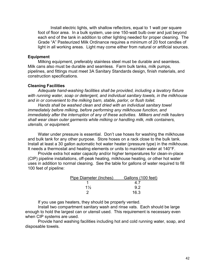Install electric lights, with shallow reflectors, equal to 1 watt per square foot of floor area. In a bulk system, use one 150-watt bulb over and just beyond each end of the tank in addition to other lighting needed for proper cleaning. The Grade "A" Pasteurized Milk Ordinance requires a minimum of 20 foot candles of light in all working areas. Light may come either from natural or artificial sources.

#### **Equipment**

 Milking equipment, preferably stainless steel must be durable and seamless. Milk cans also must be durable and seamless. Farm bulk tanks, milk pumps, pipelines, and fittings must meet 3A Sanitary Standards design, finish materials, and construction specifications.

#### **Cleaning Facilities**

*Adequate hand-washing facilities shall be provided, including a lavatory fixture with running water, soap or detergent, and individual sanitary towels, in the milkhouse and in or convenient to the milking barn, stable, parlor, or flush toilet.* 

 *Hands shall be washed clean and dried with an individual sanitary towel immediately before milking, before performing any milkhouse function, and immediately after the interruption of any of these activities. Milkers and milk haulers shall wear clean outer garments while milking or handling milk, milk containers, utensils, or equipment.* 

 Water under pressure is essential. Don't use hoses for washing the milkhouse and bulk tank for any other purpose. Store hoses on a rack close to the bulk tank. Install at least a 30 gallon automatic hot water heater (pressure type) in the milkhouse. It needs a thermostat and heating elements or units to maintain water at 140°F.

Provide extra hot water capacity and/or higher temperatures for clean-in-place (CIP) pipeline installations, off-peak heating, milkhouse heating, or other hot water uses in addition to normal cleaning. See the table for gallons of water required to fill 100 feet of pipeline:

| Pipe Diameter (Inches) | Gallons (100 feet) |
|------------------------|--------------------|
|                        |                    |
| $1\frac{1}{2}$         | 92                 |
|                        | 16.3               |

If you use gas heaters, they should be properly vented.

 Install two compartment sanitary wash and rinse vats. Each should be large enough to hold the largest can or utensil used. This requirement is necessary even when CIP systems are used.

 Provide hand washing facilities including hot and cold running water, soap, and disposable towels.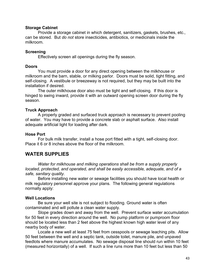#### **Storage Cabinet**

 Provide a storage cabinet in which detergent, sanitizers, gaskets, brushes, etc., can be stored. But *do not* store insecticides, antibiotics, or medicinals inside the milkroom.

### **Screening**

Effectively screen all openings during the fly season.

#### **Doors**

 You must provide a door for any direct opening between the milkhouse or milkroom and the barn, stable, or milking parlor. Doors must be solid, tight fitting, and self-closing. A vestibule or breezeway is not required, but they may be built into the installation if desired.

 The outer milkhouse door also must be tight and self-closing. If this door is hinged to swing inward, provide it with an outward opening screen door during the fly season.

### **Truck Approach**

 A properly graded and surfaced truck approach is necessary to prevent pooling of water. You may have to provide a concrete slab or asphalt surface. Also install adequate artificial light for loading after dark.

### **Hose Port**

 For bulk milk transfer, install a hose port fitted with a tight, self-closing door. Place it 6 or 8 inches above the floor of the milkroom.

## **WATER SUPPLIES**

 *Water for milkhouse and milking operations shall be from a supply properly located, protected, and operated, and shall be easily accessible, adequate, and of a safe, sanitary quality.* 

Before installing new water or sewage facilities you should have local health or milk regulatory personnel approve your plans. The following general regulations normally apply:

### **Well Locations**

 Be sure your well site is not subject to flooding. Ground water is often contaminated and will pollute a clean water supply.

 Slope grades down and away from the well. Prevent surface water accumulation for 50 feet in every direction around the well. No pump platform or pumproom floor should be located less than 2 feet above the highest known high water level of any nearby body of water.

 Locate a new well at least 75 feet from cesspools or sewage leaching pits. Allow 50 feet between the well and a septic tank, outside toilet, manure pile, and unpaved feedlots where manure accumulates. No sewage disposal line should run within 10 feet (measured horizontally) of a well. If such a line runs more than 10 feet but less than 50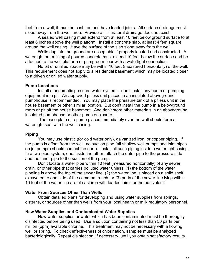feet from a well, it must be cast iron and have leaded joints. All surface drainage must slope away from the well area. Provide a fill if natural drainage does not exist.

 A sealed well casing must extend from at least 10 feet below ground surface to at least 6 inches above the well platform. Install a concrete slab, at least 4 feet square, around the well casing. Have the surface of the slab slope away from the well.

 Wells dug into the ground are acceptable if properly located and constructed. A watertight outer lining of poured concrete must extend 10 feet below the surface and be attached to the well platform or pumproom floor with a watertight connection.

 No pit or unfilled space may be within 10 feet (measured horizontally) of the well. This requirement does not apply to a residential basement which may be located closer to a driven or drilled water supply.

#### **Pump Locations**

 Install a pneumatic pressure water system – don't install any pump or pumping equipment in a pit. An approved pitless unit placed in an insulated aboveground pumphouse is recommended. You may place the pressure tank of a pitless unit in the house basement or other similar location. But don't install the pump in a belowground room or pit off the house basement. And don't store other materials in an aboveground insulated pumphouse or other pump enclosure.

 The base plate of a pump placed immediately over the well should form a watertight seal with the well casing.

#### **Piping**

 You may use plastic (for cold water only), galvanized iron, or copper piping. If the pump is offset from the well, no suction pipe (all shallow well pumps and inlet pipes on jet pumps) should contact the earth. Install all such piping inside a watertight casing. In a two-pipe system, one inside the other, attach the outer pipe to the pressure side and the inner pipe to the suction of the pump.

 Don't locate a water pipe within 10 feet (measured horizontally) of any sewer, drain, or other pipe that carries polluted water unless: (1) the bottom of the water pipeline is above the top of the sewer line, (2) the water line is placed on a solid shelf excavated to one side of the common trench, or (3) parts of the sewer line lying within 10 feet of the water line are of cast iron with leaded joints or the equivalent.

#### **Water From Sources Other Than Wells**

 Obtain detailed plans for developing and using water supplies from springs, cisterns, or sources other than wells from your local health or milk regulatory personnel.

#### **New Water Supplies and Contaminated Water Supplies**

 New water supplies or water which has been contaminated must be thoroughly disinfected before being used. Use a solution containing not less than 50 parts per million (ppm) available chlorine. This treatment may not be necessary with a flowing well or spring. To check effectiveness of chlorination, samples must be analyzed bacteriologically. Repeat disinfection, if necessary, until you obtain satisfactory results.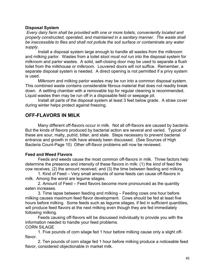#### **Disposal System**

*Every dairy farm shall be provided with one or more toilets, conveniently located and properly constructed, operated, and maintained in a sanitary manner. The waste shall be inaccessible to flies and shall not pollute the soil surface or contaminate any water supply.* 

Install a disposal system large enough to handle all wastes from the milkroom and milking parlor. Wastes from a toilet stool *must not* run into the disposal system for milkroom and parlor wastes. A solid, self-closing door may be used to separate a flush toilet from the milkhouse or milkroom. Louvered doors will not suffice. Remember, a separate disposal system is needed. A direct opening is not permitted if a privy system is used.

 Milkroom and milking parlor wastes may be run into a common disposal system. This combined waste contains considerable fibrous material that does not readily break down. A settling chamber with a removable top for regular cleaning is recommended. Liquid wastes then may be run off in a disposable field or seepage pit.

 Install all parts of the disposal system at least 3 feet below grade. A straw cover during winter helps protect against freezing.

## **OFF-FLAVORS IN MILK**

 Many different off-flavors occur in milk. Not all off-flavors are caused by bacteria. But the kinds of flavors produced by bacterial action are several and varied. Typical of these are sour, malty, putrid, bitter, and stale. Steps necessary to prevent bacterial entrance and growth in milk have already been discussed. (See Sources of High Bacteria Count-Page 10) Other off-flavor problems will now be reviewed.

### **Feed and Weed Flavors**

 Feeds and weeds cause the most common off-flavors in milk. Three factors help determine the presence and intensity of these flavors in milk: (1) the *kind* of feed the cow receives, (2) the amount received, and (3) the time between feeding and milking.

 1. Kind of Feed – Very small amounts of some feeds can cause off-flavors in milk. Among the worst are legume silages.

 2. Amount of Feed – Feed flavors become more pronounced as the quantity eaten increases.

 3. Time lapse between feeding and milking – Feeding cows one hour before milking causes maximum feed flavor development. Cows should be fed at least five hours before milking. Some feeds such as legume silages, if fed in sufficient quantities, will produce feed flavors at the next milking even though they are fed immediately following milking.

 Feeds causing off-flavors will be discussed individually to provide you with the information needed to handle your feed problems.

CORN SILAGE

 1. Five pounds of corn silage fed 1 hour before milking cause only a slight offflavor.

 2. Ten pounds of corn silage fed 1 hour before milking produce a noticeable feed flavor, considered objectionable in market milk.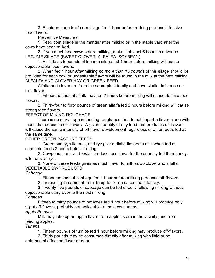3. Eighteen pounds of corn silage fed 1 hour before milking produce intensive feed flavors.

Preventive Measures:

 1. Feed corn silage in the manger after milking or in the stable yard after the cows have been milked.

 2. If you must feed cows before milking, make it at least 5 hours in advance. LEGUME SILAGE (SWEET CLOVER, ALFALFA, SOYBEAN)

 1. As little as 5 pounds of legume silage fed 1 hour before milking will cause objectionable feed flavors.

 2. When fed 1 hour *after* milking *no more* than *15 pounds* of this silage should be provided for each cow or undesirable flavors will be found in the milk at the next milking. ALFALFA AND CLOVER HAY OR GREEN FEED

 Alfalfa and clover are from the same plant family and have similar influence on milk flavor.

 1. Fifteen pounds of alfalfa hay fed 2 hours before milking will cause definite feed flavors.

 2. Thirty-four to forty pounds of green alfalfa fed 2 hours before milking will cause strong feed flavors.

EFFECT OF MIXING ROUGHAGE

 There is no advantage in feeding roughages that do not impart a flavor along with those that do cause off-flavors. A given quantity of any feed that produces off-flavors will cause the same intensity of off-flavor development regardless of other feeds fed at the same time.

OTHER GREEN PASTURE FEEDS

 1. Green barley, wild oats, and rye give definite flavors to milk when fed as complete feeds 2 hours before milking.

 2. Cowpeas, corn, and foxtail produce less flavor for the quantity fed than barley, wild oats, or rye.

 3. None of these feeds gives as much flavor to milk as do clover and alfalfa. VEGETABLE BY-PRODUCTS

*Cabbage* 

1. Fifteen pounds of cabbage fed 1 hour before milking produces off-flavors.

2. Increasing the amount from 15 up to 24 increases the intensity.

 3. Twenty-five pounds of cabbage can be fed directly following milking without objectionable carry-over to the next milking.

*Potatoes* 

 Fifteen to thirty pounds of potatoes fed 1 hour before milking will produce only slight off-flavors, probably not noticeable to most consumers.

*Apple Pomace* 

 Milk may take up an apple flavor from apples store in the vicinity, and from feeding apples.

*Turnips* 

1. Fifteen pounds of turnips fed 1 hour before milking may produce off-flavors.

 2. Thirty pounds may be consumed directly after milking with little or no detrimental effect on flavor or odor.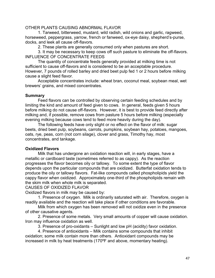#### OTHER PLANTS CAUSING ABNORMAL FLAVOR

 1. Tarweed, bitterweed, mustard, wild radish, wild onions and garlic, ragweed, horseweed, peppergrass, yarrow, french or fanweed, ox-eye daisy, shepherd's-purse, docks, and leek all cause off-flavors.

2. These plants are generally consumed only when pastures are short.

 3. It may be necessary to keep cows off such pasture to eliminate the off-flavors. INFLUENCE OF CONCENTRATE FEEDS

 The quantity of concentrate feeds generally provided at milking time is not sufficient to cause off-flavors and is considered to be an acceptable procedure. However, 7 pounds of rolled barley and dried beet pulp fed 1 or 2 hours before milking cause a slight feed flavor.

 Acceptable concentrates include: wheat bran, coconut meal, soybean meal, wet brewers' grains, and mixed concentrates.

#### **Summary**

 Feed flavors can be controlled by observing certain feeding schedules and by limiting the kind and amount of feed given to cows. In general, feeds given 5 hours before milking do not cause off-flavors. However, it is best to provide feed directly after milking and, if possible, remove cows from pasture 5 hours before milking (especially evening milking because cows tend to feed more heavily during the day).

 The following feeds have only slight or no effect on the flavor of milk: sugar beets, dried beet pulp, soybeans, carrots, pumpkins, soybean hay, potatoes, mangoes, oats, rye, peas, corn (not corn silage), clover and grass, Timothy hay, most concentrates, and tankage.

### **Oxidized Flavors**

 Milk that has undergone an oxidation reaction will, in early stages, have a metallic or cardboard taste (sometimes referred to as cappy). As the reaction progresses the flavor becomes oily or tallowy. To some extent the type of flavor depends upon the particular compounds that are oxidized. Butterfat oxidation tends to produce the oily or tallowy flavors. Fat-like compounds called phospholipids yield the cappy flavor when oxidized. Approximately one-third of the phospholipids remain with the skim milk when whole milk is separated.

CAUSES OF OXIDIZED FLAVOR

Oxidized flavors in milk may be caused by:

 1. Presence of oxygen. Milk is ordinarily saturated with air. Therefore, oxygen is readily available and the reaction will take place if other conditions are favorable.

 Milk from which oxygen has been removed will not oxidize even in the presence of other causative agents.

 2. Presence of some metals. Very small amounts of copper will cause oxidation. Iron may influence oxidation as well.

3. Presence of pro-oxidants – Sunlight and low pH (acidity) favor oxidation.

 4. Presence of antioxidants – Milk contains some compounds that inhibit oxidation; some milk contain more than others. Antioxidant compounds may be increased in milk by heat treatments (170ºF and above, momentary heating).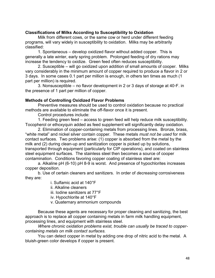### **Classifications of Milks According to Susceptibility to Oxidation**

 Milk from different cows, or the same cow or herd under different feeding programs, will vary widely in susceptibility to oxidation. Milks may be arbitrarily classified:

 1. Spontaneous – develop oxidized flavor without added copper. This is generally a late winter, early spring problem. Prolonged feeding of dry rations may increase the tendency to oxidize. Green feed often reduces susceptibility.

 2. Susceptible – will go oxidized upon addition of small amounts of cooper. Milks vary considerably in the minimum amount of copper required to produce a flavor in 2 or 3 days. In some cases 0.1 part per million is enough, in others ten times as much (1 part per million) is required.

 3. Nonsusceptible – no flavor development in 2 or 3 days of storage at 40◦F. in the presence of 1 part per million of copper.

## **Methods of Controlling Oxidized Flavor Problems**

 Preventive measures should be used to control oxidation because no practical methods are available to eliminate the off-flavor once it is present.

Control procedures include:

 1. Feeding green feed – access to green feed will help reduce milk susceptibility. Tocopherol or ethoxyquin added as feed supplement will significantly delay oxidation.

 2. Elimination of copper-containing metals from processing lines. Bronze, brass, "white metal" and nickel silver contain copper. These metals *must not be used* for milk contact surfaces. Two problems arise: (1) copper is absorbed from the metal by the milk and (2) during clean-up and sanitization copper is picked up by solutions, transported through equipment (particularly for CIP operations), and coated on stainless steel equipment surfaces. The stainless steel then becomes a source of cooper contamination. Conditions favoring copper coating of stainless steel are:

 a. Alkaline pH (6-10) pH 8-9 is worst. And presence of hypochlorites increases copper deposition.

 b. Use of certain cleaners and sanitizers. In order of *decreasing* corrosiveness they are:

i. Sulfamic acid at 140°F

ii. Alkaline cleaners

iii. Iodine sanitizers at 77°F

iv. Hypochlorite at 140°F

v. Quaternary ammonium compounds

 Because these agents are necessary for proper cleaning and sanitizing, the best approach is to replace all copper containing metals in farm milk handling equipment, processing lines, and equipment with stainless steel.

*Where chronic oxidation problems exist, trouble can usually be traced to coppercontaining metals on milk contact surfaces.* 

 You can detect copper in metal by adding one drop of nitric acid to the metal. A bluish-green color develops if copper is present.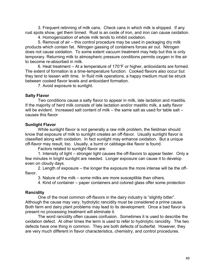3. Frequent retinning of milk cans. Check cans in which milk is shipped. If any rust spots show, get them tinned. Rust is an oxide of iron, and iron can cause oxidation.

4. Homogenization of whole milk tends to inhibit oxidation.

 5. Removal of air – this control procedure may be used in packaging dry milk products which contain fat. Nitrogen gassing of containers forces air out. Nitrogen does not cause oxidation. To some extent vacuum treatment may help but this is only temporary. Returning milk to atmospheric pressure conditions permits oxygen in the air to become re-absorbed in milk.

 6. Heat treatment – At a temperature of 170°F or higher, antioxidants are formed. The extent of formation is a time-temperature function. Cooked flavors also occur but they tend to lessen with time. In fluid milk operations, a happy medium must be struck between cooked flavor levels and antioxidant formation.

7. Avoid exposure to sunlight.

#### **Salty Flavor**

 Two conditions cause a salty flavor to appear in milk, late lactation and mastitis. If the majority of herd milk consists of late lactation and/or mastitic milk, a salty flavor will be evident. Increased salt content of milk – the same salt as used for table salt – causes this flavor

#### **Sunlight Flavor**

 While sunlight flavor is not generally a raw milk problem, the fieldman should know that exposure of milk to sunlight creates an off-flavor. Usually sunlight flavor is classified along with oxidation. In fact sunlight may enhance oxidation. But a unique off-flavor may result, too. Usually, a burnt or cabbage-like flavor is found.

Factors related to sunlight flavor are:

 1. Intensity of light – stronger light causes the off-flavors to appear faster. Only a few minutes in bright sunlight are needed. Longer exposure can cause it to develop even on cloudy days.

 2. Length of exposure – the longer the exposure the more intense will be the offflavor.

3. Nature of the milk – some milks are more susceptible than others.

4. Kind of container – paper containers and colored glass offer some protection

### **Rancidity**

 One of the most common off-flavors in the dairy industry is "slightly bitter". Although the cause may vary, hydrolytic rancidity must be considered a prime cause. Both farm and dairy plant problems may lead to its development. Once a bad flavor is present no processing treatment will eliminate it.

 The word rancidity often causes confusion. Sometimes it is used to describe the oxidation defect. At other times the term is used to refer to hydrolytic rancidity. The two defects have one thing in common. They are both defects of butterfat. However, they are very much different in flavor characteristics, chemistry, and control procedures.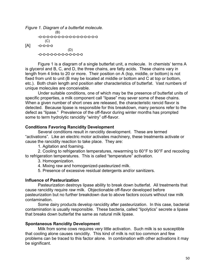*Figure 1. Diagram of a butterfat molecule.* (B) -o-o-o-o-o-o-o-o-o-o-o-o-o-o-o-o  $(C)$ [A] -o-o-o-o (D) -o-o-o-o-o-o-o-o-o-o-o-o

 Figure 1 is a diagram of a single butterfat unit, a molecule. In chemists' terms A is glycerol and B, C, and D, the three chains, are fatty acids. These chains vary in length from 4 links to 20 or more. Their position on A (top, middle, or bottom) is not fixed from unit to unit (B may be located at middle or bottom and C at top or bottom, etc.). Both chain length and position alter characteristics of butterfat. Vast numbers of unique molecules are conceivable.

 Under suitable conditions, one of which may be the presence of butterfat units of specific properties, a milk component call "lipase" may sever some of these chains. When a given number of short ones are released, the characteristic rancid flavor is detected. Because lipase is responsible for this breakdown, many persons refer to the defect as "lipase." Prevalence of the off-flavor during winter months has prompted some to term hydrolytic rancidity "wintry" off-flavor.

### **Conditions Favoring Rancidity Development**

 Several conditions result in rancidity development. These are termed "activations". Like an electric motor activates machinery, these treatments activate or cause the rancidity reaction to take place. They are:

1. Agitation and foaming.

 2. Cooling to refrigeration temperatures, rewarming to 60°F to 90°F and recooling to refrigeration temperatures. This is called "temperature" activation.

3. Homogenization.

4. Mixing raw and homogenized-pasteurized milk.

5. Presence of excessive residual detergents and/or sanitizers.

### **Influence of Pasteurization**

 Pasteurization destroys lipase ability to break down butterfat. All treatments that cause rancidity require *raw* milk. Objectionable off-flavor developed before pasteurization but no further breakdown due to above factors occurs without raw milk contamination.

 Some dairy products develop rancidity after pasteurization. In this case, bacterial contamination is usually responsible. These bacteria, called "lipolytics" secrete a lipase that breaks down butterfat the same as natural milk lipase.

### **Spontaneous Rancidity Development**

 Milk from some cows requires very little activation. Such milk is so susceptible that cooling alone causes rancidity. This kind of milk is not too common and few problems can be traced to this factor alone. In combination with other activations it may be significant.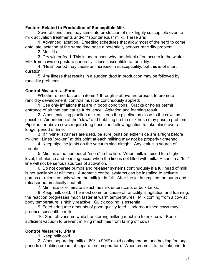### **Factors Related to Production of Susceptible Milk**

 Several conditions may stimulate production of milk highly susceptible even to milk activation treatments and/or "spontaneous" milk. These are:

 1. Advanced lactation. Breeding schedules that allow most of the herd to come onto late lactation at the same time pose a potentially serious rancidity problem.

2. Mastitis

 3. Dry winter feed. This is one reason why the defect often occurs in the winter. Milk from cows on pasture generally is less susceptible to rancidity.

 4. "Heat" period may cause an increase in susceptibility, but this is of short duration.

 5. *Any* illness that results in a sudden drop in production may be followed by rancidity problems.

## **Control Measures…Farm**

 Whether or not factors in items 1 through 5 above are present to promote rancidity development, controls must be continuously applied:

 1. Use only inflations that are in good conditions. Cracks or holes permit entrance of air that can cause turbulence. Agitation and foaming result.

 2. When installing pipeline milkers, keep the pipeline as close to the cows as possible. Air entering at the "claw" and bubbling up the milk hose may pose a problem. Pipeline far above cows require long hoses and allow agitation to take place over a longer period of time.

 3. If "in-line" strainers are used, be sure joints on either side are airtight before milking. Lines "broken" at this point at each milking may not be properly tightened.

 4. Keep pipeline joints on the vacuum side airtight. Any leak is a source of trouble.

 5. Minimize the number of "risers" in the line. When milk is raised to a higher level, turbulence and foaming occur when the line is not filled with milk. Risers in a "full" line will not be serious sources of activation.

 6. Do not operate pumps and releaser systems continuously if a full head of milk is not available at all times. Automatic control systems can be installed to activate pumps or releasers only when the milk jar is full. After the jar is emptied the pump and releaser automatically shut off.

7. Minimize or eliminate splash as milk enters cans or bulk tanks.

 8. Keep milk cold. The most common cause of rancidity is agitation and foaming; the reaction progresses much faster at warm temperatures. Milk coming from a cow at body temperature is highly reactive. Quick cooling is essential.

 9. Feed adequate amounts of good quality feed. Undernourished cows may produce susceptible milk.

 10. Shut off vacuum while transferring milking machine to next cow. Keep sufficient vacuum to prevent milking machines from falling off cows.

## **Control Measures…Plant**

1. Keep milk cold.

 2. When separating milk at 80º to 90ºF avoid cooling cream and holding for long periods or holding cream at separation temperature. When cream is to be held prior to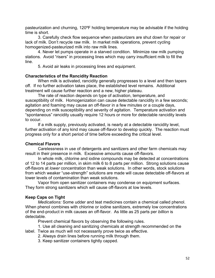pasteurization and churning, 120ºF holding temperature may be advisable if the holding time is short.

 3. Carefully check flow sequence when pasteurizers are shut down for repair or lack of milk. Don't recycle raw milk. In market milk operations, prevent cycling homogenized-pasteurized milk into raw milk lines.

 4. Never let pumps operate in a starved condition. Minimize raw milk pumping stations. Avoid "risers" in processing lines which may carry insufficient milk to fill the line.

5. Avoid air leaks in processing lines and equipment.

### **Characteristics of the Rancidity Reaction**

When milk is activated, rancidity generally progresses to a level and then tapers off. If no further activation takes place, the established level remains. Additional treatment will cause further reaction and a new, higher plateau.

 The rate of reaction depends on type of activation, temperature, and susceptibility of milk. Homogenization can cause detectable rancidity in a few seconds; agitation and foaming may cause an off-flavor in a few minutes or a couple days, depending on milk susceptibility and severity of agitation. Temperature activation and "spontaneous" rancidity usually require 12 hours or more for detectable rancidity levels to occur.

 If a milk supply, previously activated, is nearly at a detectable rancidity level, further activation of any kind may cause off-flavor to develop quickly. The reaction must progress only for a short period of time before exceeding the critical level.

#### **Chemical Flavors**

 Carelessness in use of detergents and sanitizers and other farm chemicals may result in their presence in milk. Excessive amounts cause off-flavors.

 In whole milk, chlorine and iodine compounds may be detected at concentrations of 12 to 14 parts per million, in skim milk 6 to 8 parts per million. Strong solutions cause off-flavors at *lower* concentration than weak solutions. In other words, stock solutions from which weaker "use-strength" solutions are made will cause detectable off-flavors at lower levels of contamination than weak solutions.

 Vapor from open sanitizer containers may condense on equipment surfaces. They form strong sanitizers which will cause off-flavors at low levels.

### **Keep Caps on Tight**

*Medications:* Some udder and teat medicines contain a chemical called phenol. When phenol combines with chlorine or iodine sanitizers, extremely low concentrations of the end-product in milk causes an off-flavor. As little as 25 parts per *billion* is detectable.

Prevent chemical flavors by observing the following rules.

 1. Use all cleaning and sanitizing chemicals at strength recommended on the label. Twice as much will not necessarily prove twice as effective.

2. Always drain lines before running milk through them.

3. Keep sanitizer containers tightly capped.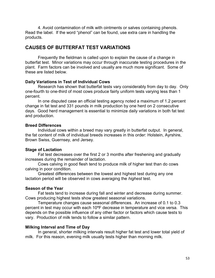4. Avoid contamination of milk with ointments or salves containing phenols. Read the label. If the word "phenol" can be found, use extra care in handling the products.

## **CAUSES OF BUTTERFAT TEST VARIATIONS**

 Frequently the fieldman is called upon to explain the cause of a change in butterfat test. Minor variations may occur through inaccurate testing procedures in the plant. Farm factors can be involved and usually are much more significant. Some of these are listed below.

#### **Daily Variations in Test of Individual Cows**

Research has shown that butterfat tests vary considerably from day to day. Only one-fourth to one-third of most cows produce fairly uniform tests varying less than 1 percent.

 In one disputed case an official testing agency noted a maximum of 1.2 percent change in fat test and 331 pounds in milk production by one herd on 2 consecutive days. Good herd management is essential to minimize daily variations in both fat test and production.

#### **Breed Differences**

 Individual cows within a breed may vary greatly in butterfat output. In general, the fat content of milk of individual breeds increases in this order: Holstein, Ayrshire, Brown Swiss, Guernsey, and Jersey.

### **Stage of Lactation**

Fat test decreases over the first 2 or 3 months after freshening and gradually increases during the remainder of lactation.

Cows calving in good flesh tend to produce milk of higher test than do cows calving in poor condition.

 Greatest differences between the lowest and highest test during any one lactation period will be observed in cows averaging the *highest* test.

#### **Season of the Year**

 Fat tests tend to increase during fall and winter and decrease during summer. Cows producing highest tests show greatest seasonal variations.

Temperature changes cause seasonal differences. An increase of 0.1 to 0.3 percent in test may occur with each 10ºF decrease in temperature and vice versa. This depends on the possible influence of any other factor or factors which cause tests to vary. Production of milk tends to follow a similar pattern.

#### **Milking Interval and Time of Day**

In general, shorter milking intervals result higher fat test and lower total yield of milk. For this reason, evening milk usually tests higher than morning milk.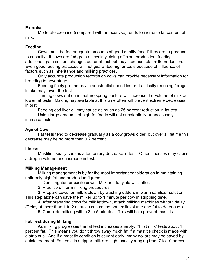### **Exercise**

 Moderate exercise (compared with no exercise) tends to increase fat content of milk.

## **Feeding**

Cows must be fed adequate amounts of good quality feed if they are to produce to capacity. If cows are fed grain at levels yielding efficient production, feeding additional grain seldom changes butterfat test but may increase total milk production. Even good feeding practices will not guarantee higher tests because of influence of factors such as inheritance and milking practices.

 Only accurate production records on cows can provide necessary information for breeding to advantage.

 Feeding finely ground hay in substantial quantities or drastically reducing forage intake may lower the test.

 Turning cows out on immature spring pasture will increase the volume of milk but lower fat tests. Making hay available at this time often will prevent extreme decreases in test.

Feeding cod liver oil may cause as much as 25 percent reduction in fat test.

 Using large amounts of high-fat feeds will not substantially or necessarily increase tests.

## **Age of Cow**

 Fat tests tend to decrease gradually as a cow grows older, but over a lifetime this decrease may be no more than 0.2 percent.

### **Illness**

 Mastitis usually causes a temporary decrease in test. Other illnesses may cause a drop in volume and increase in test.

## **Milking Management**

Milking management is by far the most important consideration in maintaining uniformly high fat and production figures.

1. Don't frighten or excite cows. Milk and fat yield will suffer.

2. Practice uniform milking procedures.

 3. Prepare cows for milk letdown by washing udders in warm sanitizer solution. This step alone can save the milker up to 1 minute per cow in stripping time.

 4. After preparing cows for milk letdown, attach milking machines without delay. (Delay of more than 1 to 2 minutes can cause both milk volume and fat to decrease.)

5. Complete milking within 3 to 5 minutes. This will help prevent mastitis.

## **Fat Test during Milking**

As milking progresses the fat test increases sharply. "First milk" tests about 1 percent fat. This means you don't throw away much fat if a mastitis check is made with a strip cup. And if a mastitic condition is caught early, many dollars may be saved by quick treatment. Fat tests in stripper milk are high, usually ranging from 7 to 10 percent.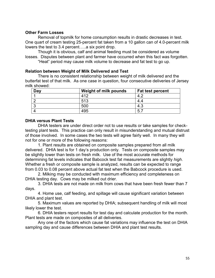#### **Other Farm Losses**

Removal of topmilk for home consumption results in drastic decreases in test. One quart of cream testing 25-percent fat taken from a 10 gallon can of 4.0-percent milk lowers the test to 3.4 percent…..a six point drop.

 Though it is obvious, calf and animal feeding must be considered as volume losses. Disputes between plant and farmer have occurred when this fact was forgotten. "Heat" period may cause milk volume to decrease and fat test to go up.

#### **Relation between Weight of Milk Delivered and Test**

 There is no consistent relationship between weight of milk delivered and the butterfat test of that milk. As one case in question, four consecutive deliveries of Jersey milk showed:

| Day | Weight of milk pounds | <b>Fat test percent</b> |
|-----|-----------------------|-------------------------|
|     | 11 O                  |                         |
|     | 513                   | 4.4                     |
|     | 500                   | 4.3                     |
|     | 495                   | 5.                      |

### **DHIA versus Plant Tests**

DHIA testers are under direct order not to use results or take samples for checktesting plant tests. This practice can only result in misunderstanding and mutual distrust of those involved. In some cases the two tests will agree fairly well. In many they will not for one or more of the following reasons:

 1. Plant results are obtained on composite samples prepared from all milk delivered. DHIA test is for 1 day's production only. Tests on composite samples may be slightly lower than tests on fresh milk. Use of the most accurate methods for determining fat levels indicates that Babcock test fat measurements are slightly *high*. Whether a fresh or composite sample is analyzed, results can be expected to range from 0.03 to 0.08 percent above actual fat test when the Babcock procedure is used.

 2. Milking may be conducted with maximum efficiency and completeness on DHIA testing day. Cows may be milked out drier.

 3. DHIA tests are not made on milk from cows that have been fresh fewer than 7 days.

 4. Home use, calf feeding, and spillage will cause significant variation between DHIA and plant test.

 5. Maximum values are reported by DHIA; subsequent handling of milk will most likely lower the test.

 6. DHIA testers report results for test day and calculate production for the month. Plant tests are made on composites of all deliveries.

 Any one of the factors which cause fat variations may influence the test on DHIA sampling day and cause differences between DHIA and plant test results.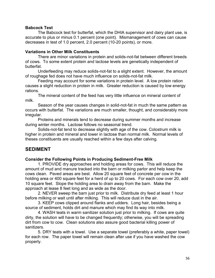## **Babcock Test**

The Babcock test for butterfat, which the DHIA supervisor and dairy plant use, is accurate to plus or minus 0.1 percent (one point). Mismanagement of cows can cause decreases in test of 1.0 percent, 2.0 percent (10-20 points), or more.

### **Variations in Other Milk Constituents**

 There are minor variations in protein and solids-not-fat between different breeds of cows. To some extent protein and lactose levels are genetically independent of butterfat.

 Underfeeding may reduce solids-not-fat to a slight extent. However, the amount of roughage fed does not have much influence on solids-not-fat milk.

 Feeding may account for some variations in protein level. A low protein ration causes a slight reduction in protein in milk. Greater reduction is caused by low energy rations.

 The mineral content of the feed has very little influence on mineral content of milk.

 Season of the year causes changes in solid-not-fat in much the same pattern as occurs with butterfat. The variations are much smaller, thought, and considerably more irregular.

 Proteins and minerals tend to decrease during summer months and increase during winter months. Lactose follows no seasonal trend.

 Solids-not-fat tend to decrease slightly with age of the cow. Colostrum milk is higher in protein and mineral and lower in lactose than normal milk. Normal levels of theses constituents are usually reached within a few days after calving.

# **SEDIMENT**

### **Consider the Following Points in Producing Sediment-Free Milk**

 1. PROVIDE dry approaches and holding areas for cows. This will reduce the amount of mud and manure tracked into the barn or milking parlor and help keep the cows clean. Paved areas are best. Allow 20 square feet of concrete per cow in the holding area or 400 square feet for a herd of up to 20 cows. For each cow over 20, add 10 square feet. Slope the holding area to drain away from the barn. Make the approach at lease 8 feet long and as wide as the door.

 2. NEVER sweep the barn just prior to milk. Distribute dry feed at least 1 hour before milking or wait until after milking. This will reduce dust in the air.

 3. KEEP cows clipped around flanks and udders. Long hair, besides being a source of sediment, holds dirt and manure which may find its way into milk.

 4. WASH teats in warm sanitizer solution just prior to milking. If cows are quite dirty, the solution will have to be changed frequently; otherwise, you will be spreading dirt from cow to cow. Clean solutions also assure good bacterial killing power of sanitizers.

 5. DRY teats with a towel. Use a separate towel (preferably a white, paper towel) for each row. The paper towel will remain clean after use if you have washed the cow properly.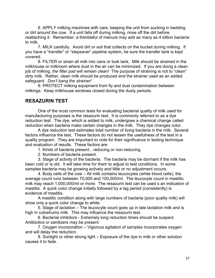6. APPLY milking machines with care, keeping the unit from sucking in bedding or dirt around the cow. If a unit falls off during milking, rinse off the dirt before reattaching it. Remember: a thimbleful of manure may add as many as 4 billion bacteria to milk.

7. MILK carefully. Avoid dirt or soil that collects on the bucket during milking. If you have a "transfer" or "stepsaver" pipeline system, be sure the transfer tank is kept covered.

 8. FILTER or strain all milk into cans or bulk tank. Milk should be strained in the milkhouse or milkroom where dust in the air can be minimized. If you are doing a clean job of milking, *the filter pad will remain clean!* The purpose of straining is not to "clean" dirty milk. Rather, clean milk should be produced and the strainer used as an added safeguard. *Don't bang the strainer!* 

 9. PROTECT milking equipment from fly and dust contamination between milkings. Keep milkhouse windows closed during the dusty periods.

## **RESAZURIN TEST**

 One of the most common tests for evaluating bacterial quality of milk used for manufacturing purposes is the resazurin test. It is commonly referred to as a dye reduction test. The dye, which is added to milk, undergoes a chemical change called *reduction* when bacteria make certain changes in the milk. They dye changes color.

 A dye reduction test estimates total number of *living* bacteria in the milk. Several factors influence the test. These factors do not lessen the usefulness of the test in a quality program. They are important to note for their significance in testing technique and evaluation of results. These factors are:

- 1. Kinds of bacteria present…reducing or non-reducing.
- 2. Numbers of bacteria present.

 3. Stage of activity of the bacteria. The bacteria may be dormant if the milk has been cold or is old. It will take time for them to adjust to test conditions. In some samples bacteria may be growing actively and little or no adjustment occurs.

 4. Body cells of the cow – All milk contains leucocytes (white blood cells); the average count runs between 70,000 and 100,000/ml. The leucocyte count in mastitic milk may reach 1,000,000/ml or more. The resazurin test can be used s an indication of mastitis. A quick color change initially followed by a lag period (consistently) is evidence of mastitis.

 A mastitic condition along with large numbers of bacteria (poor quality milk) will show only a quick color change to white.

 5. Stage of lactation – The leucocyte count goes up in late lactation milk and is high in colostrums milk. This may influence the resazurin test.

 6. Bacterial inhibitors - Extremely long reduction times should be suspect. Antibiotics or sanitizers may be present.

 7. Oxygen incorporation – Vigorous agitation of samples incorporates oxygen and will delay the reduction.

 8. Sunlight or other strong light – Exposure of the dye in milk or other solution causes it to fade.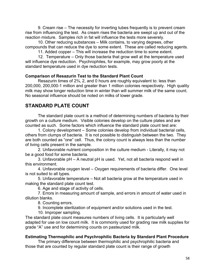9. Cream rise – The necessity for inverting tubes frequently is to prevent cream rise from influencing the test. As cream rises the bacteria are swept up and out of the reaction mixture. Samples rich in fat will influence the tests more severely.

 10. Other reducing substances – Milk contains, to varying degrees, other compounds that can reduce the dye to some extent. These are called reducing agents.

11. Added copper – This will increase the reduction time to some extent.

 12. Temperature – Only those bacteria that grow well at the temperature used will influence dye reduction. Psychrophiles, for example, may grow poorly at the standard temperature used in dye reduction tests.

## **Comparison of Resazurin Test to the Standard Plant Count**

 Resazurin times of 2¾, 2, and 0 hours are roughly equivalent to: less than 200,000, 200,000-1 million and greater than 1 million colonies respectively. High quality milk may show longer reduction time in winter than will summer milk of the same count. No seasonal influence should be noted on milks of lower grade.

# **STANDARD PLATE COUNT**

 The standard plate count is a method of determining numbers of bacteria by their growth on a culture medium. Visible colonies develop on the culture plates and are counted as such. Some factors which influence the standard plate count test are:

 1. Colony development – Some colonies develop from individual bacterial cells, others from clumps of bacteria. It is not possible to distinguish between the two. They are both counted as "one" cell. Thus, the colony count is always less than the number of living cells present in the sample.

2. Unfavorable nutrient composition in the culture medium - Literally, it may not be a good food for some bacteria.

 3. Unfavorable pH – A neutral pH is used. Yet, not all bacteria respond well in this environment.

 4. Unfavorable oxygen level – Oxygen requirements of bacteria differ. One level is not suited to all types.

 5. Unfavorable temperature – Not all bacteria grow at the temperature used in making the standard plate count test.

6. Age and stage of activity of cells.

 7. Errors in measuring amount of sample, and errors in amount of water used in dilution blanks.

8. Counting errors.

9. Incomplete sterilization of equipment and/or solutions used in the test.

10. Improper sampling.

The standard plate count measures numbers of living cells. It is particularly well adapted for use on low count milk. It is commonly used for grading raw milk supplies for grade "A" use and for determining counts on pasteurized milk.

## **Estimating Thermophilic and Psychrophilic Bacteria by Standard Plant Procedure**

The primary difference between thermophilic and psychrophilic bacteria and those that are counted by regular standard plate count is their range of growth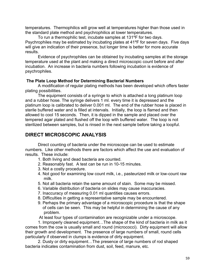temperatures. Thermophilics will grow well at temperatures higher than those used in the standard plate method and psychrophilics at lower temperatures.

 To run a thermophilic test, incubate samples at 131ºF for two days. Psychrophiles may be estimated by incubating plates at 41ºF for seven days. Five days will give an indication of their presence, but longer time is better for more accurate results.

 Evidence of psychrophiles can be obtained by incubating samples at the storage temperature used at the plant and making a direct microscopic count before and after incubation. An increase in bacteria numbers following incubation is evidence of psychrophiles.

## **The Plate Loop Method for Determining Bacterial Numbers**

 A modification of regular plating methods has been developed which offers faster plating possibilities.

 The equipment consists of a syringe to which is attached a long platinum loop and a rubber hose. The syringe delivers 1 ml. every time it is depressed and the platinum loop is calibrated to deliver 0.001 ml. The end of the rubber hose is placed in sterile buffered water and is filled at intervals. Initially, the loop is flamed and then allowed to cool 15 seconds. Then, it is dipped in the sample and placed over the tempered agar plated and flushed off the loop with buffered water. The loop is not sterilized between samples, but is rinsed in the next sample before taking a loopful.

# **DIRECT MICROSCOPIC ANALYSIS**

Direct counting of bacteria under the microscope can be used to estimate numbers. Like other methods there are factors which affect the use and evaluation of results. These include:

- 1. Both living and dead bacteria are counted.
- 2. Reasonably fast. A test can be run in 10-15 minutes.
- 3. Not a costly procedure.
- 4. Not good for examining low count milk, i.e., pasteurized milk or low-count raw milk.
- 5. Not all bacteria retain the same amount of stain. Some may be missed.
- 6. Variable distribution of bacteria on slides may cause inaccuracies.
- 7. Inaccuracy of measuring 0.01 ml quantities causes errors.
- 8. Difficulties in getting a representative sample may be encountered.
- 9. Perhaps the primary advantage of a microscopic procedure is that the shape of cells can be seen. This may be helpful in determining the cause of any problem.

At least four types of contamination are recognizable under a microscope.

 1. Improperly cleaned equipment…The shape of the kind of bacteria in milk as it comes from the cow is usually small and round (micrococci). Dirty equipment will allow their growth and development. The presence of large numbers of small, round cells particularly if observed in clumps is evidence of dirty equipment.

 2. Dusty or dirty equipment…The presence of large numbers of rod shaped bacteria indicates contamination from dust, soil, feed, manure, etc.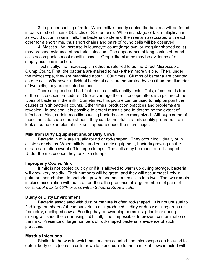3. Improper cooling of milk…When milk is poorly cooled the bacteria will be found in pairs or short chains (S. lactis or S. cremoris). While in a stage of fast multiplication as would occur in warm milk, the bacteria divide and then remain associated with each other for a short time, thus short chains and pairs of round cells will be observed.

 4. Mastitis...An increase in leucocyte count (large oval or irregular shaped cells) may precede evidence of bacterial infection. The appearance of long chains of round cells accompanies most mastitis cases. Grape-like clumps may be evidence of a staphylococcus infection.

 Technically, the microscopic method is referred to as the Direct Microscopic Clump Count. First, the bacteria are stained to make them more visible. Then, under the microscope, they are magnified about 1,000 times. Clumps of bacteria are counted as one cell. Whenever individual bacterial cells are separated by less than the diameter of two cells, they are counted as one.

 There are good and bad features in all milk quality tests. This, of course, is true of the microscopic procedure. One advantage the microscope offers is a picture of the types of bacteria in the milk. Sometimes, this picture can be used to help pinpoint the causes of high bacteria counts. Other times, production practices and problems are revealed. In addition, it is possible to detect mastitis and to determine the extent of infection. Also, certain mastitis-causing bacteria can be recognized. Although some of these indicators are crude at best, they can be helpful in a milk quality program. Let's look at some examples of milk as it appears under the microscope:

#### **Milk from Dirty Equipment and/or Dirty Cows**

 Bacteria in milk are usually round or rod-shaped. They occur individually or in clusters or chains. When milk is handled in dirty equipment, bacteria growing on the surface are often swept off in large clumps. The cells may be round or rod-shaped. Under the microscope they look like clumps.

#### **Improperly Cooled Milk**

 If milk is not cooled quickly or if it is allowed to warm up during storage, bacteria will grow very rapidly. Their numbers will be great, and they will occur most likely in pairs or short chains. In bacterial growth, one bacterium splits into two. The two remain in close association with each other, thus, the presence of large numbers of pairs of cells. *Cool milk to 40°F or less within 2 hours! Keep it cold!* 

#### **Dusty or Dirty Environment**

 Bacteria associated with dust or manure is often rod-shaped. It is not unusual to find large numbers of these bacteria in milk produced in dirty or dusty milking areas or from dirty, unclipped cows. Feeding hay or sweeping barns just prior to or during milking will seed the air, making it difficult, if not impossible, to prevent contamination of the milk. Presence of large numbers of rod-shaped bacteria is evidence of such practices.

### **Mastitis Infections**

Similar to the way in which bacteria are counted, the microscope can be used to detect body cells (somatic cells or white blood cells) found in milk of cows infected with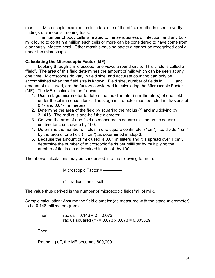mastitis. Microscopic examination is in fact one of the official methods used to verify findings of various screening tests.

 The number of body cells is related to the seriousness of infection, and any bulk milk found to contain a million such cells or more can be considered to have come from a seriously infected herd. Other mastitis-causing bacteria cannot be recognized easily under the microscope.

## **Calculating the Microscopic Factor (MF)**

Looking through a microscope, one views a round circle. This circle is called a "field". The area of this field determines the amount of milk which can be seen at any one time. Microscopes do vary in field size, and accurate counting can only be accomplished when the field size is known. Field size, number of fields in 1, and amount of milk used, are the factors considered in calculating the Microscopic Factor (MF). The MF is calculated as follows:

- 1. Use a stage micrometer to determine the diameter (in millimeters) of one field under the oil immersion lens. The stage micrometer must be ruled in divisions of 0.1- and 0.01- millimeters.
- 2. Determine the area of the field by squaring the radius (r) and multiplying by 3.1416. The radius is one-half the diameter.
- 3. Convert the area of one field as measured in square millimeters to square centimeters, i.e., divide by 100.
- 4. Determine the number of fields in one square centimeter (1cm<sup>2</sup>), i.e. divide 1 cm<sup>2</sup> by the area of one field (in cm²) as determined in step 3.
- 5. Because the amount of milk used is 0.01 milliliters and it is spread over 1 cm², determine the number of microscopic fields per milliliter by multiplying the number of fields (as determined in step 4) by 100.

The above calculations may be condensed into the following formula:

Microscopic Factor =

 $r^2$  = radius times itself

The value thus derived is the number of microscopic fields/ml. of milk.

Sample calculation: Assume the field diameter (as measured with the stage micrometer) to be 0.146 millimeters (mm).

Then: radius =  $0.146 \div 2 = 0.073$ radius squared ( $r^2$ ) = 0.073 x 0.073 = 0.005329

Then:

Rounding off, the MF becomes 600,000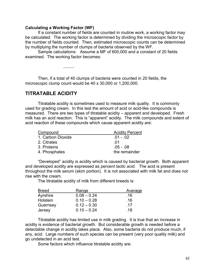#### **Calculating a Working Factor (WF)**

 If a constant number of fields are counted in routine work, a working factor may be calculated. The working factor is determined by dividing the microscopic factor by the number of fields counted. Then, estimated microscopic counts can be determined by multiplying the number of clumps of bacteria observed by the WF.

 Sample calculations: Assume a MF of 600,000 and a constant of 20 fields examined. The working factor becomes:

 Then, if a total of 40 clumps of bacteria were counted in 20 fields, the microscopic clump count would be 40 x 30,000 or 1,200,000.

## **TITRATABLE ACIDITY**

 Titratable acidity is sometimes used to measure milk quality. It is commonly used for grading cream. In this test the amount of acid or acid-like compounds is measured. There are two types of titratable acidity – apparent and developed. Fresh milk has an acid reaction. This is "apparent" acidity. The milk compounds and extent of acid reaction of these compounds which cause apparent acidity are:

| Compound          | <b>Acidity Percent</b> |
|-------------------|------------------------|
| 1. Carbon Dioxide | $.01 - .02$            |
| 2. Citrates       | -01                    |
| 3. Proteins       | .05 - .08              |
| 4. Phosphates     | the remainder          |

 "Developed" acidity is acidity which is caused by bacterial growth. Both apparent and developed acidity are expressed as *percent lactic acid.* The acid is present throughout the milk serum (skim portion). It is not associated with milk fat and does not rise with the cream.

The titratable acidity of milk from different breeds is:

| <b>Breed</b>    | Range         | Average |
|-----------------|---------------|---------|
| Ayrshire        | $0.08 - 0.24$ | .16     |
| <b>Holstein</b> | $0.10 - 0.28$ | .16     |
| Guernsey        | $0.12 - 0.30$ | .17     |
| Jersey          | $0.10 - 0.24$ | .18     |

 Titratable acidity has limited use in milk grading. It is true that an increase in acidity is evidence of bacterial growth. But considerable growth is needed before a detectable change in acidity takes place. Also, some bacteria do not produce much, if any, acid. Large numbers of such species can be present (very poor quality milk) and go undetected in an acid test.

Some factors which influence titratable acidity are: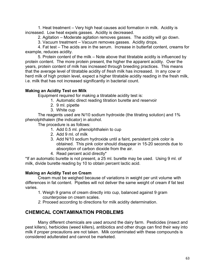1. Heat treatment – Very high heat causes acid formation in milk. Acidity is increased. Low heat expels gasses. Acidity is decreased.

2. Agitation – Moderate agitation removes gasses. The acidity will go down.

3. Vacuum treatment – Vacuum removes gasses. Acidity drops.

 4. Fat test – The acids are in the serum. Increase in butterfat content, creams for example, reduces acidity.

 5. Protein content of the milk – Note above that titratable acidity is influenced by protein content. The more protein present, the higher the apparent acidity. Over the years, protein content of milk has increased through breeding practices. This means that the average level of titratable acidity of *fresh* milk has increased. In any cow or herd milk of high protein level, expect a higher titratable acidity reading in the fresh milk, i.e. milk that has not increased significantly in bacterial count.

## **Making an Acidity Test on Milk**

Equipment required for making a titratable acidity test is:

- 1. Automatic direct reading titration burette and reservoir
- 2. 9 ml. pipette
- 3. White cup

 The reagents used are N/10 sodium hydroxide (the titrating solution) and 1% phenolphthalein (the indicator) in alcohol.

The procedure is as follows:

- 1. Add 0.5 ml. phenolphthalein to cup
- 2. Add 9 ml. of milk
- 3. Add N/10 sodium hydroxide until a faint, persistent pink color is obtained. This pink color should disappear in 15-20 seconds due to absorption of carbon dioxide from the air.
- 4. Read percent acid directly\*

\*If an automatic burette is not present, a 25 ml. burette may be used. Using 9 ml. of milk, divide burette reading by 10 to obtain percent lactic acid.

## **Making an Acidity Test on Cream**

 Cream must be weighed because of variations in weight per unit volume with differences in fat content. Pipettes will not deliver the same weight of cream if fat test varies.

- 1. Weigh 9 grams of cream directly into cup, balanced against 9 gram counterpoise on cream scales.
- *2.* Proceed according to directions for milk acidity determination.

## **CHEMICAL CONTAMINATION PROBLEMS**

 Many different chemicals are used around the dairy farm. Pesticides (insect and pest killers), herbicides (weed killers), antibiotics and other drugs can find their way into milk if proper precautions are not taken. Milk contaminated with these compounds is considered adulterated and cannot be marketed.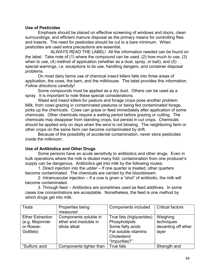### **Use of Pesticides**

 Emphasis should be placed on effective screening of windows and doors, clean surroundings, and efficient manure disposal as the primary means for controlling flies and insects. The need for pesticides should be cut to a bare minimum. When pesticides are used extra precautions are essential.

 ALWAYS READ THE LABEL! All the information needed can be found on the label. Take note of (1) where the compound can be used, (2) how much to use, (3) when to use, (4) method of application (whether as a dust, spray, or bait), and (5) special warnings, i.e. exceptions to its use, handling dangers, and container disposal problems.

 On most dairy farms use of chemical insect killers falls into three areas of application, the cows, the barn, and the milkhouse. The label provides this information. *Follow directions carefully!* 

Some compounds must be applied as a dry dust. Others can be used as a spray. It is important to note these special considerations.

 Weed and insect killers for pasture and forage crops pose another problem. Milk, from cows grazing in contaminated pastures or being fed contaminated forage, picks up the chemicals. Cows can graze or feed immediately after application of some chemicals. Other chemicals require a waiting period before grazing or cutting. The chemicals may disappear from standing crops, but persist in cut crops. Chemicals should be applied only on days when the wind is not blowing. The neighboring farm or other crops on the same farm can become contaminated by drift.

 Because of the possibility of accidental contamination, never store pesticides inside the milkroom.

## **Use of Antibiotics and Other Drugs**

 Some persons have an acute sensitivity to antibiotics and other drugs. Even in bulk operations where the milk is diluted many fold, contamination from one producer's supply can be dangerous. Antibiotics get into milk by the following routes:

 1. Direct injection into the udder – If one quarter is treated, other quarters become contaminated. The chemicals are carried by the bloodstream.

 2. Intramuscular injection – If a cow is given a "shot" of antibiotic, the milk will become contaminated.

 3. Through feed – Antibiotics are sometimes used as feed additives. In some cases low concentrations are acceptable. Nonetheless, the feed is one method by which drugs get into milk.

| <b>Tests</b>            | Properties being        | Components included       | <b>Critical factors</b> |
|-------------------------|-------------------------|---------------------------|-------------------------|
|                         | measured                |                           |                         |
| <b>Ether Extraction</b> | Components soluble in   | True fats (triglycerides) | Weighing                |
| (e.g. Mojonnier         | ether and insoluble in  | Phospholipids             | techniques              |
| or Roese-               | dilute alkali           | Some fatty acids          | decanting off ether     |
| Gottlieb)               |                         | Fat soluble vitamins      | layer                   |
|                         |                         | Cholesterol               |                         |
|                         |                         | "Impurities?"             |                         |
| "Sulfuric acid          | Components lighter than | True fats                 | Strength and            |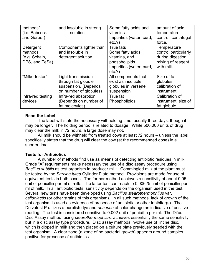| methods"<br>(i.e. Babcock<br>and Gerber)                | and insoluble in strong<br>solution                                                         | Some fatty acids and<br>vitamins<br>Impurities (water, curd,<br>etc.?)                                 | amount of acid<br>temperature<br>control, centrifugal<br>force.                            |
|---------------------------------------------------------|---------------------------------------------------------------------------------------------|--------------------------------------------------------------------------------------------------------|--------------------------------------------------------------------------------------------|
| Detergent<br>methods<br>(e.g. Schain,<br>DPS, and TeSa) | Components lighter than<br>and insoluble in<br>detergent solution                           | True fats<br>Some fatty acids,<br>vitamins, and<br>phospholipids<br>Impurities (water, curd,<br>etc.?) | Temperature<br>control particularly<br>during digestion,<br>mixing of reagent<br>with milk |
| "Milko-tester"                                          | Light transmission<br>through fat globule<br>suspension. (Depends<br>on number of globules) | All components that<br>exist as insoluble<br>globules in versene<br>suspension                         | Size of fat<br>globules,<br>calibration of<br>instrument                                   |
| Infra-red testing<br>devices                            | Infra-red absorption<br>(Depends on number of<br>fat molecules)                             | True fat<br>Phospholipids                                                                              | Calibration of<br>instrument, size of<br>fat globule                                       |

### **Read the Label**

The label will state the necessary withholding time, usually three days, though it may be longer. The holding period is related to dosage. While 500,000 units of drug may clear the milk in 72 hours, a large dose may not.

 All milk should be withheld from treated cows at least 72 hours – unless the label specifically states that the drug will clear the cow (at the recommended dose) in a shorter time.

## **Tests for Antibiotics**

 A number of methods find use as means of detecting antibiotic residues in milk. Grade "A" requirements make necessary the use of a disc assay procedure using *Bacillus subtilis* as test organism in producer milk. Commingled milk at the plant must be tested by the *Sarcina lutea* Cylinder Plate method. Provisions are made for use of equivalent tests in both cases. The former method achieves a sensitivity of about 0.05 unit of penicillin per ml of milk. The latter test can reach to 0.00625 unit of penicillin per ml of milk. In all antibiotic tests, sensitivity depends on the organism used in the test. Several new tests have been developed using *Bacillus stearothermophilus* var. *calidolactis* (or other strains of this organism). In all such methods, lack of growth of the test organism is used as evidence of presence of antibiotic or other inhibitor(s). The Delvotest P utilizes a purplish dye and *absence* of color change as indicative of positive reading. The test is considered sensitive to 0.002 unit of penicillin per ml. The Difco Disc Assay method, using *stearothermophilus,* achieves essentially the same sensitivity but in a disc assay type procedure. Disc assay methods involve use of lintine disc, which is dipped in milk and then placed on a culture plate previously seeded with the test organism. A clear zone (a zone of no bacterial growth) appears around samples positive for presence of antibiotics.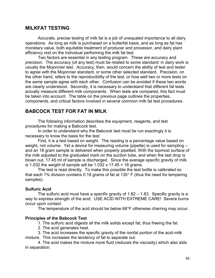## **MILKFAT TESTING**

 Accurate, precise testing of milk fat is a job of unequaled importance to all dairy operations. As long as milk is purchased on a butterfat basis, and as long as fat has monetary value, both equitable treatment of producer and processor, and dairy plant efficiency rest on the individual performing the milk fat test.

 Two factors are essential in any testing program. These are accuracy and precision. The accuracy (of any test) must be related to some standard: in dairy work is usually the Mojonnier test. Accuracy, then, would concern the ability of test and tester to agree with the Mojonnier standard, or some other selected standard. Precision, on the other hand, refers to the reproducibility of the test, or how well two or more tests on the same sample agree with each other. Confusion can be avoided if these two words are clearly understood. Secondly, it is necessary to understand that different fat tests actually measure different milk components. When tests are compared, this fact must be taken into account. The table on the previous page outlines the properties, components, and critical factors involved in several common milk fat test procedures.

## **BABCOCK TEST FOR FAT IN MILK**

The following information describes the equipment, reagents, and test procedures for making a Babcock test.

 In order to understand why the Babcock test must be run exactingly it is necessary to know the basis for the test:

 First, it is a test based on weight. The reading is a percentage value based on weight, not volume. Yet a device for measuring volume (pipette) is used for sampling – and an 18 gram sample is delivered when properly pipetted. With the topmost surface of the milk adjusted to the graduated mark on the suction tube, and when the last drop is blown out, 17.45 ml of sample is discharged. Since the average specific gravity of milk is 1.032 the *weight* of sample will be 1.032 x 17.45 = 18 grams.

 The test is read directly. To make this possible the test bottle is calibrated so that each 1% division contains 0.18 grams of fat at 135° F (thus the need for tempering samples).

### **Sulfuric Acid**

 The sulfuric acid must have a specific gravity of 1.82 – 1.83. Specific gravity is a way to express strength of the acid. USE ACID WITH EXTREME CARE! Severe burns occur upon contact.

The temperature of the acid should be below 68°F otherwise charring may occur.

### **Principles of the Babcock Test**

1. The sulfuric acid digests all the milk solids except fat, thus freeing the fat.

2. The acid generates heat.

 3. The acid increases the specific gravity of the nonfat portion of the acid-milk mixture. This increases the tendency of fat to separate out.

 4. The acid makes the mixture more fluid (reduces the viscosity) which also aids in separation.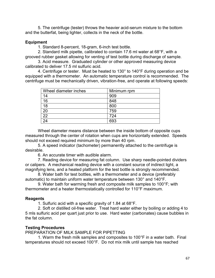5. The centrifuge (tester) throws the heavier acid-serum mixture to the bottom and the butterfat, being lighter, collects in the neck of the bottle.

#### **Equipment**

1. Standard 8-percent, 18-gram, 6-inch test bottle.

 2. Standard milk pipette, calibrated to contain 17.6 ml water at 68°F, with a grooved rubber gasket allowing for venting of test bottle during discharge of sample.

 3. Acid measure. Graduated cylinder or other approved measuring device calibrated to deliver 17.5 ml sulfuric acid.

 4. Centrifuge or tester. Must be heated to 130° to 140°F during operation and be equipped with a thermometer. An automatic temperature control is recommended. The centrifuge must be mechanically driven, vibration-free, and operate at following speeds:

| Wheel diameter inches | Minimum rpm |
|-----------------------|-------------|
| 14                    | 909         |
| 16                    | 848         |
| 18                    | 800         |
| 20                    | 759         |
| $\overline{22}$       | 724         |
| 24                    | 693         |

 Wheel diameter means distance between the inside bottom of opposite cups measured through the center of rotation when cups are horizontally extended. Speeds should not exceed required minimum by more than 40 rpm.

 5. A speed indicator (tachometer) permanently attached to the centrifuge is desirable.

6. An accurate timer with audible alarm.

 7. Reading device for measuring fat column. Use sharp needle-pointed dividers or calipers. A mechanical reading device with a constant source of indirect light, a magnifying lens, and a heated platform for the test bottle is strongly recommended.

 8. Water bath for test bottles, with a thermometer and a device (preferably automatic) to maintain uniform water temperature between 130° and 140°F.

 9. Water bath for warming fresh and composite milk samples to 100°F; with thermometer and a heater thermostatically controlled for 110°F maximum.

### **Reagents**

1. Sulfuric acid with a specific gravity of 1.84 at 68°F.

 2. Soft or distilled oil-free water. Treat hard water either by boiling or adding 4 to 5 mls sulfuric acid per quart just prior to use. Hard water (carbonates) cause bubbles in the fat column.

#### **Testing Procedures**

PREPARATION OF MILK SAMPLE FOR PIPETTING

 1. Warm the fresh milk samples and composites to 100°F in a water bath. Final temperatures should not exceed 100°F. Do not mix milk until sample has reached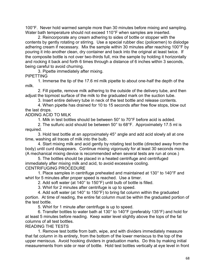100°F. Never hold warmed sample more than 30 minutes before mixing and sampling. Water bath temperature should not exceed 110°F when samples are inserted.

2. Reincorporate any cream adhering to sides of bottle or stopper with the contents by gently rotating or stirring. Use a special rubber disc (policemen) to dislodge adhering cream if necessary. Mix the sample within 30 minutes after reaching 100°F by pouring it into another clean, dry container and back into the original at least twice. If the composite bottle is not over two-thirds full, mix the sample by holding it horizontally and rocking it back and forth 6 times through a distance of 6 inches within 3 seconds, being careful to avoid churning.

 3. Pipette immediately after mixing. PIPETTING

 1. Immerse the tip of the 17.6 ml milk pipette to about one-half the depth of the milk.

 2. Fill pipette, remove milk adhering to the outside of the delivery tube, and then adjust the topmost surface of the milk to the graduated mark on the suction tube.

3. Insert entire delivery tube in neck of the test bottle and release contents.

 4. When pipette has drained for 10 to 15 seconds after free flow stops, blow out the last drops.

ADDING ACID TO MILK

1. Milk in test bottles should be between 50° to 70°F before acid is added.

 2. The sulfuric acid should be between 50° to 68°F. Approximately 17.5 ml is required.

 3. Hold test bottle at an approximately 45° angle and add acid slowly all at one time, washing all traces of milk into the bulb.

 4. Start mixing milk and acid gently by rotating test bottle (directed away from the body) until curd disappears. Continue mixing vigorously for at least 30 seconds more. (A mechanical mixing device is recommended when several tests are run at once.)

 5. The bottles should be placed in a heated centrifuge and centrifuged immediately after mixing milk and acid, to avoid excessive cooling. CENTRIFUGING PROCEDURE

 1. Place samples in centrifuge preheated and maintained at 130° to 140°F and whirl for 5 minutes after proper speed is reached. Use a timer.

2. Add soft water (at 140° to 150°F) until bulb of bottle is filled.

3. Whirl for 2 minutes after centrifuge is up to speed.

 4. Add soft water (at 140° to 150°F) to bring fat column within the graduated portion. At time of reading, the entire fat column must be within the graduated portion of the test bottle.

5. Whirl for 1 minute after centrifuge is up to speed.

 6. Transfer bottles to water bath at 130° to 140°F (preferably 135°F) and hold for at least 5 minutes before reading. Keep water level slightly above the tops of the fat columns of all test bottles.

READING THE TESTS

 1. Remove test bottle from bath, wipe, and with dividers immediately measure that fat column in its entirety, from the bottom of the lower meniscus to the top of the upper meniscus. Avoid hooking dividers in graduation marks. Do this by making initial measurements from side or rear of bottle. Hold test bottles vertically at eye level in front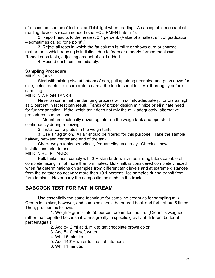of a constant source of indirect artificial light when reading. An acceptable mechanical reading device is recommended (see EQUIPMENT, item 7).

 2. Report results to the nearest 0.1 percent. (Value of smallest unit of graduation – sometimes called "one point".)

 3. Reject all tests in which the fat column is milky or shows curd or charred matter, or in which reading is indistinct due to foam or a poorly formed meniscus. Repeat such tests, adjusting amount of acid added.

4. Record each test immediately.

## **Sampling Procedure**

MILK IN CANS

 Start with mixing disc at bottom of can, pull up along near side and push down far side, being careful to incorporate cream adhering to shoulder. Mix thoroughly before sampling.

MILK IN WEIGH TANKS

 Never assume that the dumping process will mix milk adequately. Errors as high as 2 percent in fat test can result. Tanks of proper design minimize or eliminate need for further agitation. If the weigh tank does not mix the milk adequately, alternative procedures can be used:

 1. Mount an electrically driven agitator on the weigh tank and operate it continuously during receiving.

2. Install baffle plates in the weigh tank.

 3. Use air agitation. All air should be filtered for this purpose. Take the sample halfway between center and end of the tank.

 Check weigh tanks periodically for sampling accuracy. Check all new installations prior to use.

MILK IN BULK TANKS

 Bulk tanks must comply with 3-A standards which require agitators capable of complete mixing in not more than 5 minutes. Bulk milk is considered completely mixed when fat determinations on samples from different tank levels and at extreme distances from the agitator do not vary more than ±0.1 percent. Ice samples during transit from farm to plant. Never carry the composite, as such, in the truck.

# **BABCOCK TEST FOR FAT IN CREAM**

Use essentially the same technique for sampling cream as for sampling milk. Cream is thicker, however, and samples should be poured back and forth about 5 times. Then, proceed as follows:

 1. Weigh 9 grams into 50 percent cream test bottle. (Cream is weighed rather than pipetted because it varies greatly in specific gravity at different butterfat percentages.)

2. Add 8-12 ml acid, mix to get chocolate brown color.

- 3. Add 5-10 ml soft water.
- 4. Whirl 5 minutes.
- 5. Add 140°F water to float fat into neck.
- 6. Whirl 1 minute.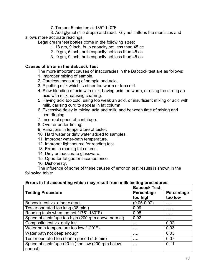7. Temper 5 minutes at 135°-140°F

 8. Add glymol (4-5 drops) and read. Glymol flattens the meniscus and allows more accurate readings.

Legal cream test bottles come in the following sizes:

- 1. 18 gm, 9 inch, bulb capacity not less than 45 cc
- 2. 9 gm, 6 inch, bulb capacity not less than 45 cc
- 3. 9 gm, 9 inch, bulb capacity not less than 45 cc

## **Causes of Error in the Babcock Test**

The more important causes of inaccuracies in the Babcock test are as follows:

- 1. Improper mixing of sample.
- 2. Careless measuring of sample and acid.
- 3. Pipetting milk which is either too warm or too cold.
- 4. Slow blending of acid with milk, having acid too warm, or using too strong an acid with milk, causing charring.
- 5. Having acid too cold, using too weak an acid, or insufficient mixing of acid with milk, causing curd to appear in fat column.
- 6. Excessive delay in mixing acid and milk, and between time of mixing and centrifuging.
- 7. Incorrect speed of centrifuge.
- 8. Over or under-timing.
- 9. Variations in temperature of tester.
- 10. Hard water or dirty water added to samples.
- 11. Improper water-bath temperature.
- 12. Improper light source for reading test.
- 13. Errors in reading fat column.
- 14. Dirty or inaccurate glassware.
- 15. Operator fatigue or incompetence.
- 16. Dishonesty.

 The influence of some of these causes of error on test results is shown in the following table:

### **Errors in fat accounting which may result from milk testing procedures.**

|                                                     | <b>Babcock Test</b> |            |
|-----------------------------------------------------|---------------------|------------|
| <b>Testing Procedure</b>                            | Percentage          | Percentage |
|                                                     | too high            | too low    |
| Babcock test vs. ether extract                      | $(0.05 - 0.07)$     |            |
| Tester operated too long (38 min.)                  | 0.09                | .          |
| Reading tests when too hot (175°-180°F)             | 0.05                |            |
| Speed of centrifuge too high (200 rpm above normal) | 0.02                |            |
| Composite test vs. daily test                       | $\cdots$            | 0.02       |
| Water bath temperature too low (120°F)              | $\cdots$            | 0.03       |
| Water bath not deep enough                          |                     | 0.03       |
| Tester operated too short a period (4.5 min)        |                     | 0.07       |
| Speed of centrifuge (20-in.) too low (200 rpm below |                     | 0.11       |
| normal)                                             |                     |            |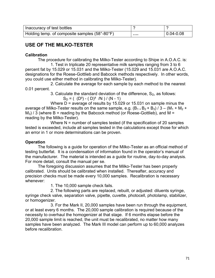| Inaccuracy of test bottles                    |                     |
|-----------------------------------------------|---------------------|
| Holding temp. of composite samples (58°-80°F) | <br>$ 0.04 - 0.08 $ |

# **USE OF THE MILKO-TESTER**

## **Calibration**

The procedure for calibrating the Milko-Tester according to Shipe in A.O.A.C. is:

 1. Test in triplicate 20 representative milk samples ranging from 3 to 6 percent fat by 15.029 or 15.031 and the Milko-Tester (15.029 and 15.031 are A.O.A.C. designations for the Roese-Gottlieb and Babcock methods respectively. In other words, you could use either method in calibrating the Milko-Tester).

 2. Calculate the average for each sample by each method to the nearest 0.01 percent.

3. Calculate the standard deviation of the difference,  $S_D$ , as follows:  $S_D = ( (D^2) - (D)^2 /N ) / (N - 1)$ 

 Where D = average of results by 15.029 or 15.031 on sample minus the average of Milko-Tester results on the same sample, e.g.  $(B_1 + B_2 + B_3) / 3 - (M_1 + M_2 +$  $M_3$ ) / 3 (where B = reading by the Babcock method (or Roese-Gottlieb), and M = reading by the Milko-Tester).

Where N = number of samples tested (if the specification of 20 samples tested is exceeded, include all samples tested in the calculations except those for which an error in 1 or more determinations can be proven.

## **Operation**

 The following is a guide for operation of the Milko-Tester as an official method of testing butterfat. It is a condensation of information found in the operator's manual of the manufacturer. The material is intended as a guide for routine, day-to-day analysis. For more detail, consult the manual per se.

 The foregoing discussion assumes that the Milko-Tester has been properly calibrated. Units should be calibrated when installed. Thereafter, accuracy and precision checks must be made every 10,000 samples. Recalibration is necessary whenever:

1. The 10,000 sample check fails.

 2. The following parts are replaced, rebuilt, or adjusted: diluents syringe, syringe check valve, separation valve, pipette, cuvette, photocell, photolamp, stabilizer, or homogenizer.

 3. For the Mark II, 20,000 samples have been run through the equipment, or at least every 6 months. The 20,000 sample calibration is required because of the necessity to overhaul the homogenizer at that stage. If 6 months elapse before the 20,000 sample limit is reached, the unit must be recalibrated, no matter how many samples have been analyzed. The Mark III model can perform up to 60,000 analyzes before recalibration.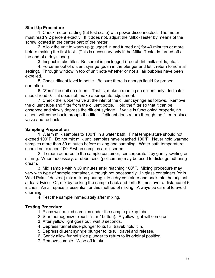## **Start-Up Procedure**

 1. Check meter reading (fat test scale) with power disconnected. The meter must read 9.2 percent exactly. If it does not, adjust the Milko-Tester by means of the screw located in the center part of the meter.

 2. Allow the unit to warm up (plugged in and turned on) for 40 minutes or more before making the first test. (This is necessary only if the Milko-Tester is turned off at the end of a day's use.)

3. Inspect intake filter. Be sure it is unclogged (free of dirt, milk solids, etc.).

 4. Force air out of diluent syringe (push in the plunger and let it return to normal setting). Through window in top of unit note whether or not all air bubbles have been expelled.

 5. Check diluent level in bottle. Be sure there is enough liquid for proper operation.

 6. "Zero" the unit on diluent. That is, make a reading on diluent only. Indicator should read 0. If it does not, make appropriate adjustment.

 7. Check the rubber valve at the inlet of the diluent syringe as follows. Remove the diluent tube and filter from the diluent bottle. Hold the filter so that it can be observed and slowly depress the diluent syringe. If valve is functioning properly, no diluent will come back through the filter. If diluent does return through the filter, replace valve and recheck.

## **Sampling Preparation**

 1. Warm milk samples to 100°F in a water bath. Final temperature should not exceed 100°F. Do not mix milk until samples have reached 100°F. Never hold warmed samples more than 30 minutes before mixing and sampling. Water bath temperature should not exceed 100°F when samples are inserted.

2. If cream adheres to the sample container, reincorporate it by gently swirling or stirring. When necessary, a rubber disc (policeman) may be used to dislodge adhering cream.

 3. Mix sample within 30 minutes after reaching 100°F. Mixing procedure may vary with type of sample container, although not necessarily. In glass containers (or in Whirl Paks if desired) mix milk by pouring into a dry container and back into the original at least twice. Or, mix by rocking the sample back and forth 6 times over a distance of 6 inches. An air space is essential for this method of mixing. Always be careful to avoid churning.

4. Test the sample immediately after mixing.

# **Testing Procedure**

- 1. Place well-mixed samples under the sample pickup tube.
- 2. Start homogenizer (push "start" button). A yellow light will come on.
- 3. After yellow light goes out, wait 3 seconds.
- 4. Depress funnel slide plunger to its full travel; hold it in.
- 5. Depress diluent syringe plunger to its full travel and release.
- 6. Gently allow funnel slide plunger to return to its original position.
- 7. Remove sample. Wipe off intake.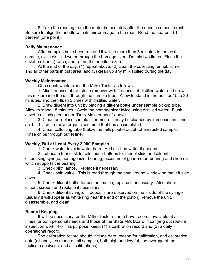8. Take the reading from the meter immediately after the needle comes to rest. Be sure to align the needle with its mirror image to the rear. Read the nearest 0.1 percent (one point).

## **Daily Maintenance**

 After samples have been run and it will be more than 5 minutes to the next sample, cycle distilled water through the homogenizer. Do this two times. Flush the cuvette (diluent) twice, and return the needle to zero.

 At the end of the day: (1) repeat above, (2) clean the collecting funnel, stirrer, and all other parts in that area, and (3) clean up any milk spilled during the day.

## **Weekly Maintenance**

Once each week, clean the Milko-Tester as follows:

 1. Mix 2 ounces of milkstone remover with 2 ounces of distilled water and draw this mixture into the unit through the sample tube. Allow to stand in the unit for 15 to 20 minutes, and then flush 3 times with distilled water.

 2. Draw diluent into unit by placing a diluent bottle under sample pickup tube. Allow to stand 15 minutes. Cycle the homogenizer twice using distilled water. Flush cuvette as indicated under "Daily Maintenance" above.

 3. Clean or replace sample filter mesh. It may be cleaned by immersion in nitric acid. This will remove organic sediment that has accumulated.

 4. Clean collecting tube (below the milk pipette outlet) of encrusted sample. Rinse chips through outlet line.

# **Weekly, But at Least Every 2,000 Samples**

1. Check water level in water bath. Add distilled water if needed.

2. Lubricate funnel slide rails, push-buttons for funnel slide and diluent

dispensing syringe, homogenizer bearing, eccentric of gear motor, bearing and slide rail which supports the bearing.

3. Check pilot lamps. Replace if necessary.

 4. Check shift value. This is read through the small round window on the left side cover.

 5. Check diluent bottle for contamination; replace if necessary. Also check diluent screen, and replace if necessary.

 6. Check diluent syringe. If deposits are observed on the inside of the syringe (usually it will appear as white ring near the end of the piston), remove the unit, disassemble, and clean.

# **Record Keeping**

 It will be necessary for the Milko-Tester user to have records available at all times for both personal needs and those of the State Milk Board in carrying out routine inspection work. For this purpose, keep: (1) a calibration record and (2) a daily operational record.

 The calibration record should include date, reason for calibration, and calibration data (all analyses made on all samples, both high and low fat, the average of the triplicate analyses, and all calibrations).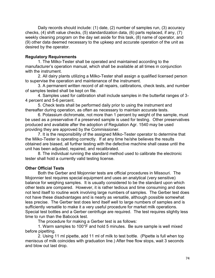Daily records should include: (1) date, (2) number of samples run, (3) accuracy checks, (4) shift value checks, (5) standardization data, (6) parts replaced, if any, (7) weekly cleaning program on the day set aside for this task, (8) name of operator, and (9) other data deemed necessary to the upkeep and accurate operation of the unit as desired by the operator.

## **Regulatory Requirements**

 1. The Milko-Tester shall be operated and maintained according to the manufacturer's operation manual, which shall be available at all times in conjunction with the instrument.

 2. All dairy plants utilizing a Milko-Tester shall assign a qualified licensed person to supervise the operation and maintenance of the instrument.

 3. A permanent written record of all repairs, calibrations, check tests, and number of samples tested shall be kept on file.

 4. Samples used for calibration shall include samples in the butterfat ranges of 3- 4 percent and 5-6 percent.

 5. Check tests shall be performed daily prior to using the instrument and thereafter during operation, as often as necessary to maintain accurate tests.

 6. Potassium dichromate, not more than 1 percent by weight of the sample, must be used as a preservative if a preserved sample is used for testing. Other preservatives produced and available after the adoption of Regulation Agr. 1540 may be used providing they are approved by the Commissioner.

 7. It is the responsibility of the assigned Milko-Tester operator to determine that the Milko-Tester is operating correctly. If at any time he/she believes the results obtained are biased, all further testing with the defective machine shall cease until the unit has been adjusted, repaired, and recalibrated.

 8. The individual running the standard method used to calibrate the electronic tester shall hold a currently valid testing license.

# **Other Official Tests**

 Both the Gerber and Mojonnier tests are official procedures in Missouri. The Mojonnier test requires special equipment and uses an analytical (very sensitive) balance for weighing samples. It is usually considered to be the standard upon which other tests are compared. However, it is rather tedious and time consuming and does not lend itself to routine work involving large numbers of samples. The Gerber test does not have these disadvantages and is nearly as versatile, although possible somewhat less precise. The Gerber test does lend itself well to large numbers of samples and is sufficiently versatile to make it a very useful procedure for market milk operations. Special test bottles and a Gerber centrifuge are required. The test requires slightly less time to run than the Babcock test.

The procedure for making a Gerber test is as follows:

 1. Warm samples to 100°F and hold 5 minutes. Be sure sample is well mixed before pipetting.

 2. Using 11 ml pipette, add 11 ml of milk to test bottle. (Pipette is full when top meniscus of milk coincides with graduation line.) After free flow stops, wait 3 seconds and blow out last drop.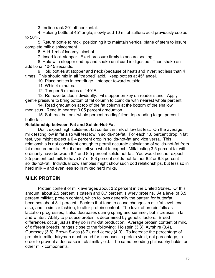3. Incline rack 20° off horizontal.

4. Holding bottle at 45° angle, slowly add 10 ml of sulfuric acid previously cooled to 50°F.

 5. Return bottle to rack, positioning it to maintain vertical plane of stem to insure complete milk displacement.

6. Add 1 ml of isoamyl alcohol.

7. Insert lock stopper. Exert pressure firmly to secure seating.

 8. Hold with stopper end up and shake until curd is digested. Then shake an additional 10-15 seconds.

 9. Hold bottles at stopper and neck (because of heat) and invert not less than 4 times. This should mix in all "trapped" acid. Keep bottles at 45° angel.

10. Place bottles in centrifuge – stopper toward outside.

11. Whirl 4 minutes.

12. Temper 5 minutes at 140°F.

13. Remove bottles individually. Fit stopper on key on reader stand. Apply gentle pressure to bring bottom of fat column to coincide with nearest whole percent.

 14. Read graduation at top of the fat column at the bottom of the shallow meniscus. Read to nearest 0.05 percent graduation.

 15. Subtract bottom "whole percent reading" from top reading to get percent butterfat.

## **Relationship between Fat and Solids-Not-Fat**

Don't expect high solids-not-fat content in milk of low fat test. On the average, milk testing low in fat also will test low in solids-not-fat. For each 1.0 percent drop in fat test, you might expect a 0.4 percent drop in solids-not-fat and vice versa. This relationship is not consistent enough to permit accurate calculation of solids-not-fat from fat measurements. But it does tell you what to expect. Milk testing 3.5 percent fat will ordinarily have between 8.4 and 8.5 percent solids-not-fat. You would neither expect 3.5 percent test milk to have 8.7 or 8.8 percent solids-not-fat nor 8.2 or 8.3 percent solids-not-fat. Individual cow samples might show such odd relationships, but less so in herd milk – and even less so in mixed herd milks.

# **MILK PROTEIN**

 Protein content of milk averages about 3.2 percent in the United States. Of this amount, about 2.5 percent is casein and 0.7 percent is whey proteins. At a level of 3.5 percent milkfat, protein content, which follows generally the pattern for butterfat, becomes about 3.1 percent. Factors that tend to cause changes in milkfat level tend also, and in similar fashion, to alter protein content. The level of protein falls as lactation progresses; it also decreases during spring and summer, but increases in fall and winter. Ability to produce protein is determined by genetic factors. Breed differences occur just as they do in milkfat production. Average protein content of milk, of different breeds, ranges close to the following: Holstein (3.3), Ayrshire (3.4), Guernsey (3.6), Brown Swiss (3.7), and Jersey (4.0). To increase the percentage of protein in milk, dairymen must breed for increases in protein yield, not percentage, in order to prevent a decrease in total milk yield. The same breeding philosophy holds for other milk components.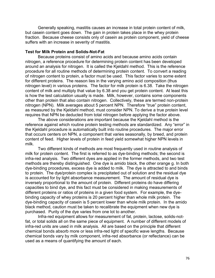Generally speaking, mastitis causes an increase in total protein content of milk, but casein content goes down. The gain in protein takes place in the whey protein fraction. Because cheese consists only of casein as protein component, yield of cheese suffers with an increase in severity of mastitis.

### **Test for Milk Protein and Solids-Not-Fat**

Because proteins consist of amino acids and because amino acids contain nitrogen, a reference procedure for determining protein content has been developed around an analysis for nitrogen. It is called the Kjeldahl method. This is the reference procedure for all routine methods of determining protein content. To convert a reading of nitrogen content to protein, a factor must be used. This factor varies to some extent for different proteins. The reason lies in the varying amino acid composition (thus nitrogen level) in various proteins. The factor for milk protein is 6.38. Take the nitrogen content of milk and multiply that value by 6.38 and you get protein content. At least this is how the test calculation usually is made. Milk, however, contains some components other than protein that also contain nitrogen. Collectively, these are termed non-protein nitrogen (NPN). Milk averages about 5 percent NPN. Therefore "true" protein content, as measured by the Kjeldahl method, must consider NPN. To derive a true protein level requires that NPN be deducted from total nitrogen before applying the factor above.

 The above considerations are important because the Kjeldahl method is the reference against which routine protein testing methods are standardized. Any "error" in the Kjeldahl procedure is automatically built into routine procedures. The major error that occurs centers on NPN, a component that varies seasonally, by breed, and protein content of feed. Higher levels of protein in feed yield somewhat higher NPN levels in milk.

 Two different kinds of methods are most frequently used in routine analysis of milk for protein content. The first is referred to as dye-binding methods; the second is infra-red analysis. Two different dyes are applied in the former methods, and two test methods are thereby distinguished. One dye is amido black, the other orange g. In both dye-binding procedures, excess dye is added to milk. The dye is attracted to and binds to protein. The dye/protein complex is precipitated out of solution and the residual dye is accounted for by light absorbance measurement. The amount of residual dye is inversely proportional to the amount of protein. Different proteins do have differing capacities to bind dye, and this fact must be considered in making measurements of different proteins or ratios of proteins in a given food system. For example, the dyebinding capacity of whey proteins is 20 percent higher than whole milk protein. The dye-binding capacity of casein is 5 percent lower than whole milk protein. In the amido black method, caution must be taken to recalibrate the equipment when new dye is purchased. Purity of the dye varies from one lot to another.

 Infra-red equipment allows for measurement of fat, protein, lactose, solids-notfat, or total solids all on the same piece of equipment. A number of different models of infra-red units are used in milk analysis. All are based on the principle that different chemical bonds absorb more or less infra-red light of specific wave lengths. Because chemical bonds vary by milk component, infra-red absorbance (or reflectance) can be used as a means of quantifying the amount of each.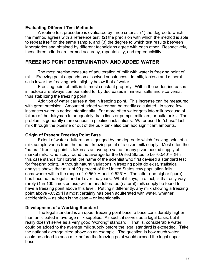### **Evaluating Different Test Methods**

 A routine test procedure is evaluated by three criteria: (1) the degree to which the method agrees with a reference test, (2) the precision with which the method is able to repeat itself on the same sample, and (3) the degree to which test results between laboratories and obtained by different technicians agree with each other. Respectively, these three criteria are termed accuracy, repeatability, and reproducibility.

# **FREEZING POINT DETERMINATION AND ADDED WATER**

 The most precise measure of adulteration of milk with water is freezing point of milk. Freezing point depends on dissolved substances. In milk, lactose and mineral salts lower the freezing point slightly below that of water.

 Freezing point of milk is its most constant property. Within the udder, increases in lactose are always compensated for by decreases in mineral salts and vice versa, thus stabilizing the freezing point.

 Addition of water causes a rise in freezing point. This increase can be measured with great precision. Amount of added water can be readily calculated. In some few instances water is added intentionally. Far more often water gets into milk because of failure of the dairyman to adequately drain lines or pumps, milk jars, or bulk tanks. The problem is generally more serious in pipeline installations. Water used to "chase" last milk through the pipeline or out of the bulk tank also can add significant amounts.

### **Origin of Present Freezing Point Base**

Extent of water adulteration is gauged by the degree to which freezing point of a milk sample varies from the natural freezing point of a given milk supply. Most often the "natural" freezing point is taken as an average value for any given pooled supply of market milk. One study found the average for the United States to be -0.540°H (H in this case stands for Hortvet, the name of the scientist who first devised a standard test for freezing point). Although natural variations in freezing point do exist, statistical analysis shows that milk of 99 percent of the United States cow population falls somewhere within the range of -0.560°H and -0.525°H. The latter (the higher figure) has become the legal standard over the years. What it says, in effect, is that only very rarely (1 in 100 times or less) will an unadulterated (natural) milk supply be found to have a freezing point above this level. Putting it differently, any milk showing a freezing point above -0.525°H almost certainly has been adulterated with water, whether accidentally – as often is the case – or intentionally.

#### **Development of a Working Standard**

 The legal standard is an upper freezing point base, a base considerably higher than anticipated in average milk supplies. As such, it serves as a legal basis, but it really doesn't serve as a very good "working" standard. That is, considerable water could be added to the average milk supply before the legal standard is exceeded. Take the national average cited above as an example. The question is how much water could be added to such milk before the freezing point would exceed the legal upper base.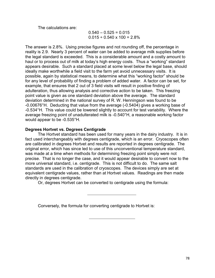The calculations are:

 $0.540 - 0.525 = 0.015$  $0.015 \div 0.540 \times 100 = 2.8\%$ 

The answer is 2.8%. Using precise figures and not rounding off, the percentage in reality is 2.9. Nearly 3 percent of water can be added to average milk supplies before the legal standard is exceeded. This is a considerable amount and a costly amount to haul or to process out of milk at today's high energy costs. Thus a "working" standard appears desirable. Such a standard placed at some level below the legal base, should ideally make worthwhile a field visit to the farm yet avoid unnecessary visits. It is possible, again by statistical means, to determine what this "working factor" should be for any level of probability of finding a problem of added water. A factor can be set, for example, that ensures that 2 out of 3 field visits will result in positive finding of adulteration, thus allowing analysis and corrective action to be taken. This freezing point value is given as one standard deviation above the average. The standard deviation determined in the national survey of R. W. Henningson was found to be -0.00676°H. Deducting that value from the average (-0.5404) gives a working base of -0.534°H. This value could be lowered slightly to account for test variability. Where the average freezing point of unadulterated milk is -0.540°H, a reasonable working factor would appear to be -0.535°H.

## **Degrees Hortvet vs. Degrees Centigrade**

 The Hortvet standard has been used for many years in the dairy industry. It is in fact used interchangeably with degrees centigrade, which is an error. Cryoscopes often are calibrated in degrees Hortvet and results are reported in degrees centigrade. The original error, which has since led to use of this unconventional temperature standard, was made at a time when methods for determining freezing point simply were not precise. That is no longer the case, and it would appear desirable to convert now to the more universal standard, i.e. centigrade. This is not difficult to do. The same salt standards are used in the calibration of cryoscopes. The devices simply are set at equivalent centigrade values, rather than at Hortvet values. Readings are then made directly in degrees centigrade.

Or, degrees Hortvet can be converted to centigrade using the formula:

Conversely, the formula for converting centigrade to Hortvet is: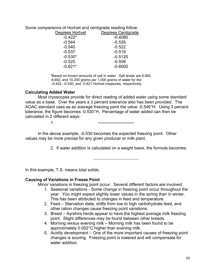Some comparisons of Hortvet and centigrade reading follow:

| Degrees Hortvet | Degrees Centigrade |
|-----------------|--------------------|
| $-0.422*$       | $-0.4080$          |
| $-0.544$        | $-0.526$           |
| $-0.540$        | $-0.522$           |
| $-0.537$        | $-0.519$           |
| $-0.530*$       | $-0.5125$          |
| $-0.525$        | $-0.508$           |
| $-0.621*$       | $-0.6002$          |
|                 |                    |

 \*Based on known amounts of salt in water. Salt levels are 6.892, 8.692, and 10.200 grams per 1,000 grams of water for the -0.422, -0.530, and -0.621 Hortvet measures, respectively.

## **Calculating Added Water**

Most cryoscopes provide for direct reading of added water using some standard value as a base. Over the years a 3 percent tolerance also has been provided. The AOAC standard uses as an average freezing point the value -0.546°H. Using 3 percent tolerance, the figure becomes -0.530°H. Percentage of water added can then be calculated in 2 different ways:

 $1.$ 

 In the above example, -0.530 becomes the expected freezing point. Other values may be more precise for any given producer or milk plant.

2. If water addition is calculated on a weight basis, the formula becomes:

In this example, T.S. means total solids.

# **Causing of Variations in Freeze Point**

Minor variations in freezing point occur. Several different factors are involved:

- 1. Seasonal variations Some change in freezing point occur throughout the year. You might expect slightly lower values in the spring than in winter. This has been attributed to changes in feed and temperature.
- 2. Feed Starvation diets, shifts from low to high carbohydrate feed, and other ration changes cause freezing point variations.
- 3. Breed Ayrshire herds appear to have the highest average milk freezing point. Slight differences may be found between other breeds.
- 4. Morning versus evening milk Morning milk has been found to be approximately 0.002°C higher than evening milk.
- 5. Acidity development One of the more important causes of freezing point changes is souring. Freezing point is lowered and will compensate for water addition.